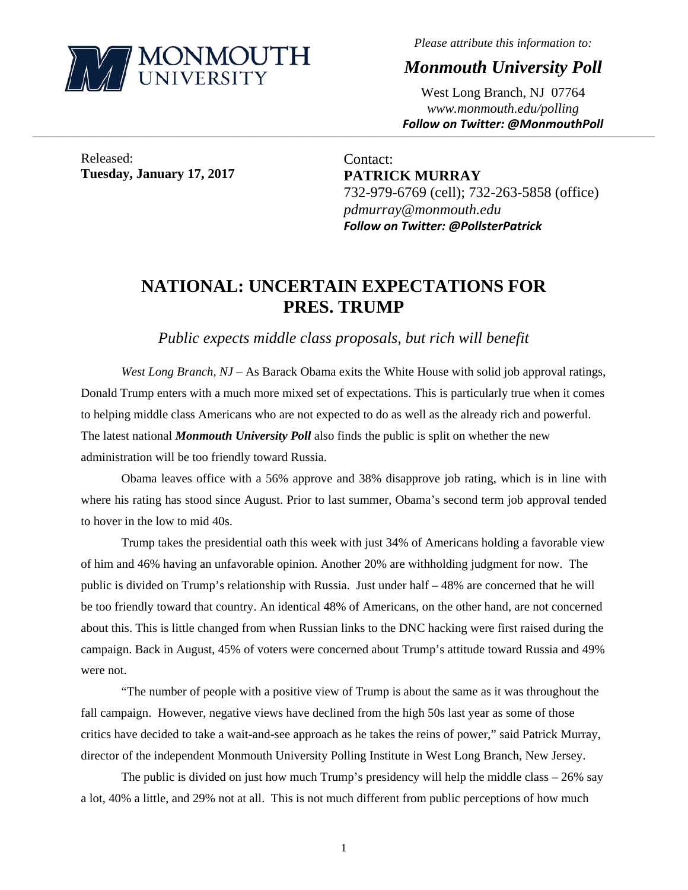

*Please attribute this information to:* 

*Monmouth University Poll* 

West Long Branch, NJ 07764 *www.monmouth.edu/polling Follow on Twitter: @MonmouthPoll*

Released: **Tuesday, January 17, 2017** 

Contact: **PATRICK MURRAY**  732-979-6769 (cell); 732-263-5858 (office) *pdmurray@monmouth.edu Follow on Twitter: @PollsterPatrick*

# **NATIONAL: UNCERTAIN EXPECTATIONS FOR PRES. TRUMP**

,一个人的人都是不是,我们的人都是不是,我们的人都是不是,我们的人都是不是,我们的人都是不是,我们的人都是不是,我们的人都是不是,我们的人都是不是,我们的人都是不

*Public expects middle class proposals, but rich will benefit* 

*West Long Branch, NJ* – As Barack Obama exits the White House with solid job approval ratings, Donald Trump enters with a much more mixed set of expectations. This is particularly true when it comes to helping middle class Americans who are not expected to do as well as the already rich and powerful. The latest national *Monmouth University Poll* also finds the public is split on whether the new administration will be too friendly toward Russia.

 Obama leaves office with a 56% approve and 38% disapprove job rating, which is in line with where his rating has stood since August. Prior to last summer, Obama's second term job approval tended to hover in the low to mid 40s.

 Trump takes the presidential oath this week with just 34% of Americans holding a favorable view of him and 46% having an unfavorable opinion. Another 20% are withholding judgment for now. The public is divided on Trump's relationship with Russia. Just under half – 48% are concerned that he will be too friendly toward that country. An identical 48% of Americans, on the other hand, are not concerned about this. This is little changed from when Russian links to the DNC hacking were first raised during the campaign. Back in August, 45% of voters were concerned about Trump's attitude toward Russia and 49% were not.

"The number of people with a positive view of Trump is about the same as it was throughout the fall campaign. However, negative views have declined from the high 50s last year as some of those critics have decided to take a wait-and-see approach as he takes the reins of power," said Patrick Murray, director of the independent Monmouth University Polling Institute in West Long Branch, New Jersey.

The public is divided on just how much Trump's presidency will help the middle class  $-26\%$  say a lot, 40% a little, and 29% not at all. This is not much different from public perceptions of how much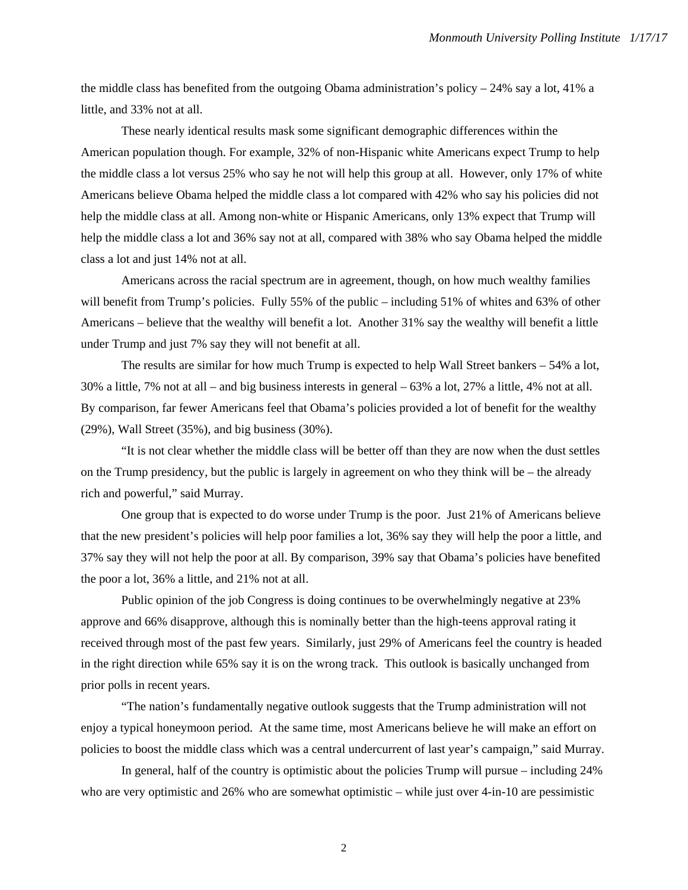the middle class has benefited from the outgoing Obama administration's policy  $-24\%$  say a lot, 41% a little, and 33% not at all.

These nearly identical results mask some significant demographic differences within the American population though. For example, 32% of non-Hispanic white Americans expect Trump to help the middle class a lot versus 25% who say he not will help this group at all. However, only 17% of white Americans believe Obama helped the middle class a lot compared with 42% who say his policies did not help the middle class at all. Among non-white or Hispanic Americans, only 13% expect that Trump will help the middle class a lot and 36% say not at all, compared with 38% who say Obama helped the middle class a lot and just 14% not at all.

Americans across the racial spectrum are in agreement, though, on how much wealthy families will benefit from Trump's policies. Fully 55% of the public – including 51% of whites and 63% of other Americans – believe that the wealthy will benefit a lot. Another 31% say the wealthy will benefit a little under Trump and just 7% say they will not benefit at all.

The results are similar for how much Trump is expected to help Wall Street bankers – 54% a lot, 30% a little, 7% not at all – and big business interests in general – 63% a lot, 27% a little, 4% not at all. By comparison, far fewer Americans feel that Obama's policies provided a lot of benefit for the wealthy (29%), Wall Street (35%), and big business (30%).

"It is not clear whether the middle class will be better off than they are now when the dust settles on the Trump presidency, but the public is largely in agreement on who they think will be – the already rich and powerful," said Murray.

One group that is expected to do worse under Trump is the poor. Just 21% of Americans believe that the new president's policies will help poor families a lot, 36% say they will help the poor a little, and 37% say they will not help the poor at all. By comparison, 39% say that Obama's policies have benefited the poor a lot, 36% a little, and 21% not at all.

Public opinion of the job Congress is doing continues to be overwhelmingly negative at 23% approve and 66% disapprove, although this is nominally better than the high-teens approval rating it received through most of the past few years. Similarly, just 29% of Americans feel the country is headed in the right direction while 65% say it is on the wrong track. This outlook is basically unchanged from prior polls in recent years.

"The nation's fundamentally negative outlook suggests that the Trump administration will not enjoy a typical honeymoon period. At the same time, most Americans believe he will make an effort on policies to boost the middle class which was a central undercurrent of last year's campaign," said Murray.

In general, half of the country is optimistic about the policies Trump will pursue – including 24% who are very optimistic and 26% who are somewhat optimistic – while just over 4-in-10 are pessimistic

2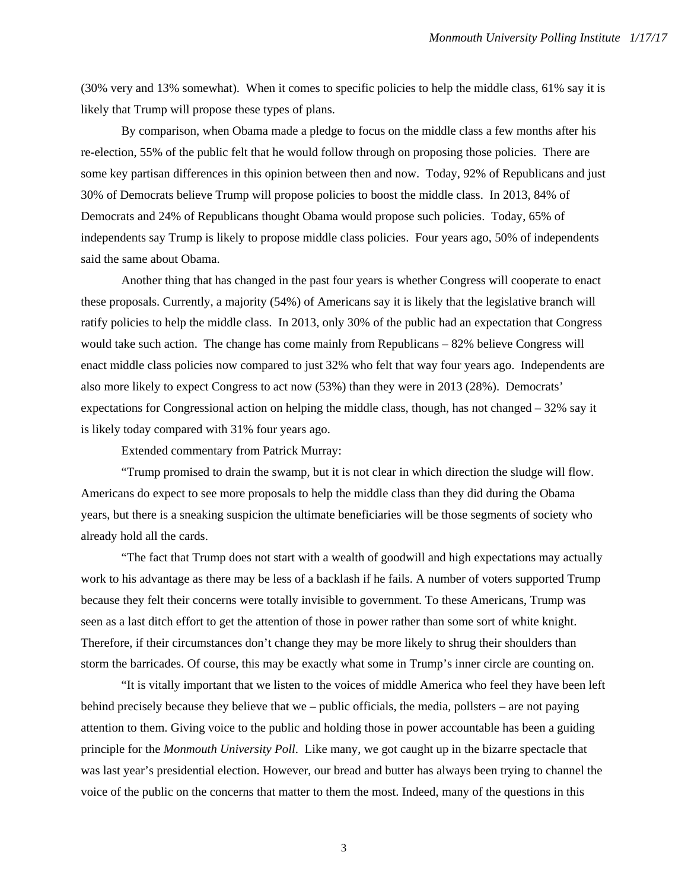(30% very and 13% somewhat). When it comes to specific policies to help the middle class, 61% say it is likely that Trump will propose these types of plans.

By comparison, when Obama made a pledge to focus on the middle class a few months after his re-election, 55% of the public felt that he would follow through on proposing those policies. There are some key partisan differences in this opinion between then and now. Today, 92% of Republicans and just 30% of Democrats believe Trump will propose policies to boost the middle class. In 2013, 84% of Democrats and 24% of Republicans thought Obama would propose such policies. Today, 65% of independents say Trump is likely to propose middle class policies. Four years ago, 50% of independents said the same about Obama.

Another thing that has changed in the past four years is whether Congress will cooperate to enact these proposals. Currently, a majority (54%) of Americans say it is likely that the legislative branch will ratify policies to help the middle class. In 2013, only 30% of the public had an expectation that Congress would take such action. The change has come mainly from Republicans – 82% believe Congress will enact middle class policies now compared to just 32% who felt that way four years ago. Independents are also more likely to expect Congress to act now (53%) than they were in 2013 (28%). Democrats' expectations for Congressional action on helping the middle class, though, has not changed – 32% say it is likely today compared with 31% four years ago.

Extended commentary from Patrick Murray:

 "Trump promised to drain the swamp, but it is not clear in which direction the sludge will flow. Americans do expect to see more proposals to help the middle class than they did during the Obama years, but there is a sneaking suspicion the ultimate beneficiaries will be those segments of society who already hold all the cards.

 "The fact that Trump does not start with a wealth of goodwill and high expectations may actually work to his advantage as there may be less of a backlash if he fails. A number of voters supported Trump because they felt their concerns were totally invisible to government. To these Americans, Trump was seen as a last ditch effort to get the attention of those in power rather than some sort of white knight. Therefore, if their circumstances don't change they may be more likely to shrug their shoulders than storm the barricades. Of course, this may be exactly what some in Trump's inner circle are counting on.

 "It is vitally important that we listen to the voices of middle America who feel they have been left behind precisely because they believe that we – public officials, the media, pollsters – are not paying attention to them. Giving voice to the public and holding those in power accountable has been a guiding principle for the *Monmouth University Poll*. Like many, we got caught up in the bizarre spectacle that was last year's presidential election. However, our bread and butter has always been trying to channel the voice of the public on the concerns that matter to them the most. Indeed, many of the questions in this

3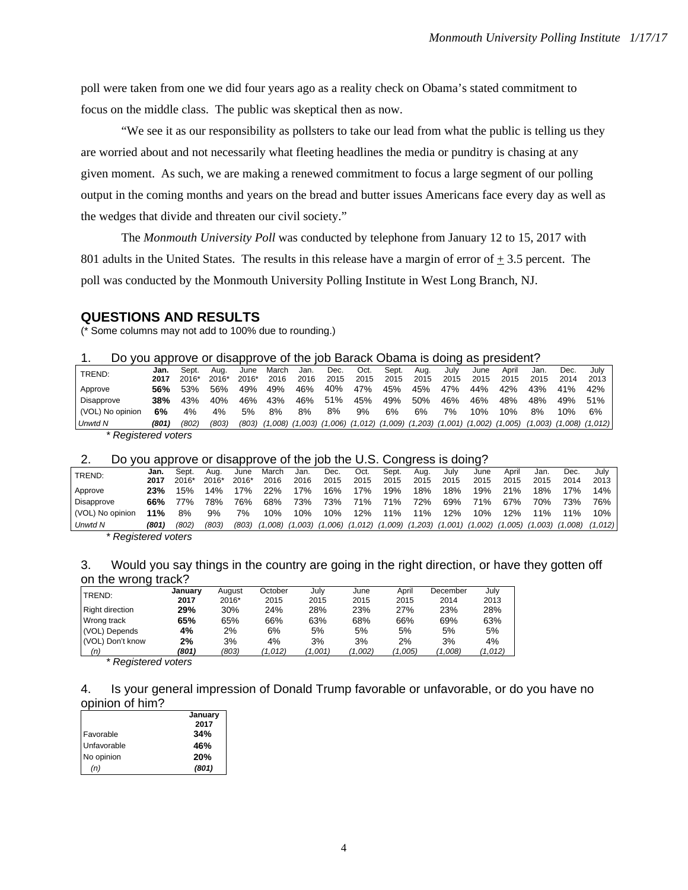poll were taken from one we did four years ago as a reality check on Obama's stated commitment to focus on the middle class. The public was skeptical then as now.

"We see it as our responsibility as pollsters to take our lead from what the public is telling us they are worried about and not necessarily what fleeting headlines the media or punditry is chasing at any given moment. As such, we are making a renewed commitment to focus a large segment of our polling output in the coming months and years on the bread and butter issues Americans face every day as well as the wedges that divide and threaten our civil society."

The *Monmouth University Poll* was conducted by telephone from January 12 to 15, 2017 with 801 adults in the United States. The results in this release have a margin of error of  $\pm$  3.5 percent. The poll was conducted by the Monmouth University Polling Institute in West Long Branch, NJ.

### **QUESTIONS AND RESULTS**

(\* Some columns may not add to 100% due to rounding.)

|  | Do you approve or disapprove of the job Barack Obama is doing as president? |  |
|--|-----------------------------------------------------------------------------|--|
|  |                                                                             |  |

| --                  |       |         |       |         |       |      |      |      |       |      |      |      |       |      |      |                                                                                                                         |
|---------------------|-------|---------|-------|---------|-------|------|------|------|-------|------|------|------|-------|------|------|-------------------------------------------------------------------------------------------------------------------------|
| TREND:              | Jan.  | Sept.   | Aua.  | June    | March | Jan. | Dec. | Oct. | Sept. | Aua. | Julv | June | April | Jan. | Dec. | July l                                                                                                                  |
|                     | 2017  | $2016*$ | 2016* | $2016*$ | 2016  | 2016 | 2015 | 2015 | 2015  | 2015 | 2015 | 2015 | 2015  | 2015 | 2014 | 2013                                                                                                                    |
| Approve             | 56%   | 53%     | 56%   | 49%     | 49%   | 46%  | 40%  | 47%  | 45%   | 45%  | 47%  | 44%  | 42%   | 43%  | 41%  | 42%                                                                                                                     |
| Disapprove          | 38%   | 43%     | 40%   | 46%     | 43%   | 46%  | 51%  | 45%  | 49%   | 50%  | 46%  | 46%  | 48%   | 48%  | 49%  | 51%                                                                                                                     |
| (VOL) No opinion    | 6%    | 4%      | 4%    | 5%      | 8%    | 8%   | 8%   | 9%   | 6%    | 6%   | 7%   | 10%  | 10%   | 8%   | 10%  | 6%                                                                                                                      |
| Unwtd N             | (801) | (802)   | (803) | (803)   |       |      |      |      |       |      |      |      |       |      |      | $(1,008)$ $(1,003)$ $(1,006)$ $(1,012)$ $(1,009)$ $(1,203)$ $(1,001)$ $(1,002)$ $(1,005)$ $(1,003)$ $(1,008)$ $(1,012)$ |
| * Registered voters |       |         |       |         |       |      |      |      |       |      |      |      |       |      |      |                                                                                                                         |

#### 2. Do you approve or disapprove of the job the U.S. Congress is doing?

| .                   |       |       |         |         |         |         |         |             |         |      |                     |         |       |                     |         |         |
|---------------------|-------|-------|---------|---------|---------|---------|---------|-------------|---------|------|---------------------|---------|-------|---------------------|---------|---------|
| TREND:              | Jan.  | Sept. | Aua.    | June    | March   | Jan.    | Dec.    | Oct.        | Sept.   | Aua. | Julv                | June    | April | Jan.                | Dec.    | July    |
|                     | 2017  | 2016* | $2016*$ | $2016*$ | 2016    | 2016    | 2015    | 2015        | 2015    | 2015 | 2015                | 2015    | 2015  | 2015                | 2014    | 2013    |
| Approve             | 23%   | 15%   | 4%      | 7%      | 22%     | 7%      | 16%     | 17%         | 19%     | 18%  | 18%                 | 19%     | 21%   | 18%                 | 17%     | 14%     |
| Disapprove          | 66%   | 77%   | 78%     | 76%     | 68%     | 73%     | 73%     | 71%         | 71%     | 72%  | 69%                 | 71%     | 67%   | 70%                 | 73%     | 76%     |
| (VOL) No opinion    | 11%   | 8%    | 9%      | 7%      | 10%     | 10%     | 10%     | 12%         | 11%     | 11%  | 12%                 | 10%     | 12%   | 11%                 | $11\%$  | 10%     |
| Unwtd N             | (801) | '802. | (803)   | (803)   | (1.008) | (1.003) | (1.006) | $(1,012)$ ( | (1,009) |      | $(1,203)$ $(1,001)$ | (1,002) |       | $(1,005)$ $(1,003)$ | (1.008) | (1,012) |
| * Pogiotorod votoro |       |       |         |         |         |         |         |             |         |      |                     |         |       |                     |         |         |

*\* Registered voters* 

## 3. Would you say things in the country are going in the right direction, or have they gotten off on the wrong track?

| TREND:           | January | August | October | July   | June    | April  | December | July    |
|------------------|---------|--------|---------|--------|---------|--------|----------|---------|
|                  | 2017    | 2016*  | 2015    | 2015   | 2015    | 2015   | 2014     | 2013    |
| Right direction  | 29%     | 30%    | 24%     | 28%    | 23%     | 27%    | 23%      | 28%     |
| Wrong track      | 65%     | 65%    | 66%     | 63%    | 68%     | 66%    | 69%      | 63%     |
| (VOL) Depends    | 4%      | 2%     | 6%      | 5%     | 5%      | 5%     | 5%       | 5%      |
| (VOL) Don't know | 2%      | 3%     | 4%      | 3%     | 3%      | 2%     | 3%       | 4%      |
| (n)              | (801)   | (803)  | (1,012) | 1.001) | (1,002) | 1,005) | (1,008)  | ′1,012) |

*\* Registered voters* 

4. Is your general impression of Donald Trump favorable or unfavorable, or do you have no opinion of him?

|             | January<br>2017 |
|-------------|-----------------|
| Favorable   | 34%             |
| Unfavorable | 46%             |
| No opinion  | 20%             |
| (n)         | (801)           |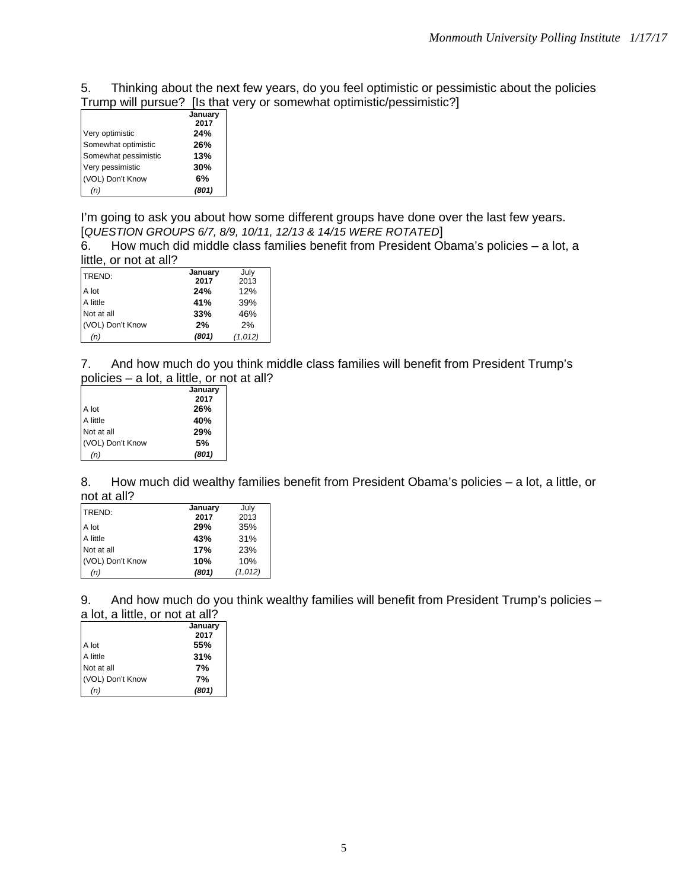5. Thinking about the next few years, do you feel optimistic or pessimistic about the policies Trump will pursue? [Is that very or somewhat optimistic/pessimistic?]

|                      | January |
|----------------------|---------|
|                      | 2017    |
| Very optimistic      | 24%     |
| Somewhat optimistic  | 26%     |
| Somewhat pessimistic | 13%     |
| Very pessimistic     | 30%     |
| (VOL) Don't Know     | 6%      |
| (n)                  | (801)   |
|                      |         |

I'm going to ask you about how some different groups have done over the last few years. [*QUESTION GROUPS 6/7, 8/9, 10/11, 12/13 & 14/15 WERE ROTATED*]

6. How much did middle class families benefit from President Obama's policies – a lot, a

| little, or not at all? |         |         |
|------------------------|---------|---------|
| TREND:                 | January | July    |
|                        | 2017    | 2013    |
| A lot                  | 24%     | 12%     |
| A little               | 41%     | 39%     |
| Not at all             | 33%     | 46%     |
| (VOL) Don't Know       | 2%      | 2%      |
| (n)                    | (801)   | (1,012) |

7. And how much do you think middle class families will benefit from President Trump's policies – a lot, a little, or not at all?

|                  | January |
|------------------|---------|
|                  | 2017    |
| A lot            | 26%     |
| A little         | 40%     |
| Not at all       | 29%     |
| (VOL) Don't Know | 5%      |
| (n)              | (801)   |
|                  |         |

8. How much did wealthy families benefit from President Obama's policies - a lot, a little, or not at all?

| TREND:           | January | July    |
|------------------|---------|---------|
|                  | 2017    | 2013    |
| A lot            | 29%     | 35%     |
| A little         | 43%     | 31%     |
| Not at all       | 17%     | 23%     |
| (VOL) Don't Know | 10%     | 10%     |
| (n)              | (801)   | (1,012) |

9. And how much do you think wealthy families will benefit from President Trump's policies a lot, a little, or not at all?

|                  | January |
|------------------|---------|
|                  | 2017    |
| A lot            | 55%     |
| A little         | 31%     |
| Not at all       | 7%      |
| (VOL) Don't Know | 7%      |
| 'n)              | (801)   |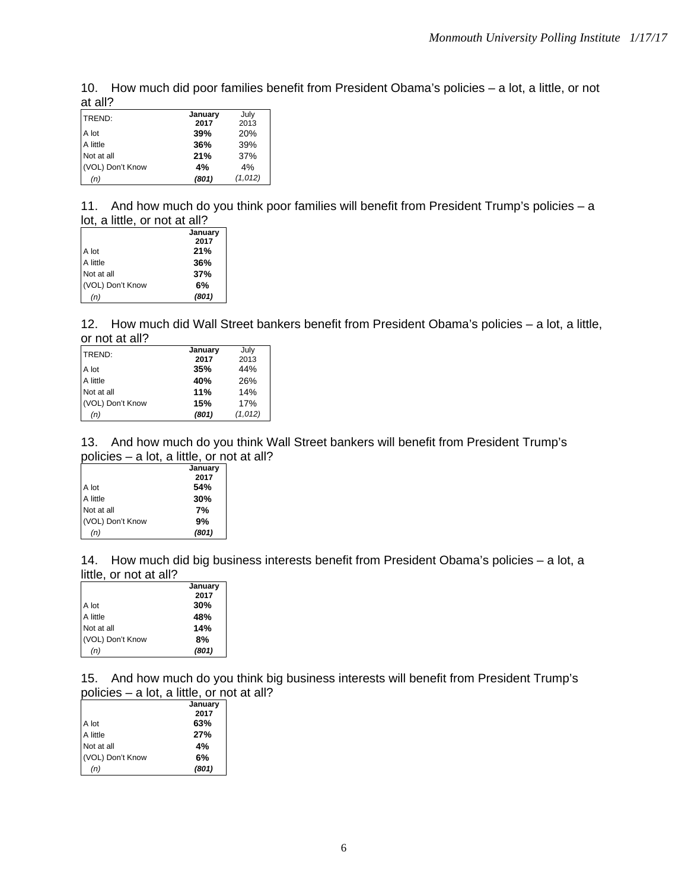10. How much did poor families benefit from President Obama's policies – a lot, a little, or not at all?

| ---              |         |         |
|------------------|---------|---------|
| TREND:           | January | July    |
|                  | 2017    | 2013    |
| A lot            | 39%     | 20%     |
| A little         | 36%     | 39%     |
| Not at all       | 21%     | 37%     |
| (VOL) Don't Know | 4%      | 4%      |
| (n)              | (801)   | (1,012) |

11. And how much do you think poor families will benefit from President Trump's policies – a lot, a little, or not at all?

|                  | January |
|------------------|---------|
|                  | 2017    |
| A lot            | 21%     |
| A little         | 36%     |
| Not at all       | 37%     |
| (VOL) Don't Know | 6%      |
| (n)              | (801)   |

12. How much did Wall Street bankers benefit from President Obama's policies – a lot, a little, or not at all?

| TREND:           | January | July    |
|------------------|---------|---------|
|                  | 2017    | 2013    |
| A lot            | 35%     | 44%     |
| A little         | 40%     | 26%     |
| Not at all       | 11%     | 14%     |
| (VOL) Don't Know | 15%     | 17%     |
| (n)              | (801)   | (1,012) |

13. And how much do you think Wall Street bankers will benefit from President Trump's policies – a lot, a little, or not at all?

|                  | January |
|------------------|---------|
|                  | 2017    |
| A lot            | 54%     |
| A little         | 30%     |
| Not at all       | 7%      |
| (VOL) Don't Know | 9%      |
| (n)              | (801)   |

14. How much did big business interests benefit from President Obama's policies – a lot, a little, or not at all?

|                  | January |
|------------------|---------|
|                  | 2017    |
| A lot            | 30%     |
| A little         | 48%     |
| Not at all       | 14%     |
| (VOL) Don't Know | 8%      |
| 'n)              | (801)   |

15. And how much do you think big business interests will benefit from President Trump's policies – a lot, a little, or not at all?

|                  | January |
|------------------|---------|
|                  | 2017    |
| A lot            | 63%     |
| A little         | 27%     |
| Not at all       | 4%      |
| (VOL) Don't Know | 6%      |
| (n)              | (801)   |
|                  |         |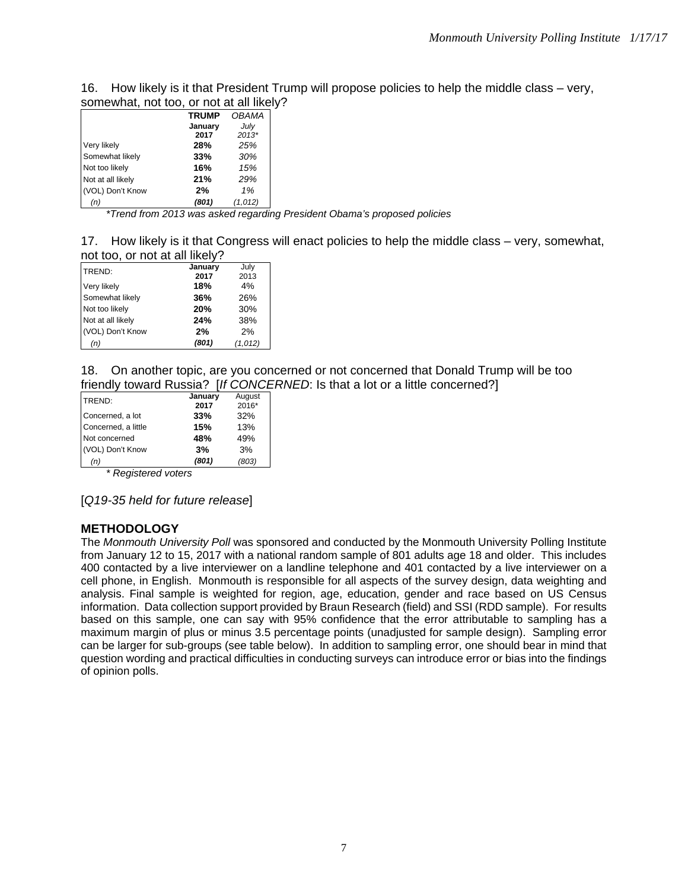| 16. How likely is it that President Trump will propose policies to help the middle class – very, |
|--------------------------------------------------------------------------------------------------|
| somewhat, not too, or not at all likely?                                                         |

| <u>sunewhat, not too, or not at all inciv</u> |              |              |  |
|-----------------------------------------------|--------------|--------------|--|
|                                               | <b>TRUMP</b> | <b>OBAMA</b> |  |
|                                               | January      | July         |  |
|                                               | 2017         | $2013*$      |  |
| Very likely                                   | 28%          | 25%          |  |
| Somewhat likely                               | 33%          | 30%          |  |
| Not too likely                                | 16%          | 15%          |  |
| Not at all likely                             | 21%          | 29%          |  |
| (VOL) Don't Know                              | 2%           | 1%           |  |
| (n)                                           | (801)        | (1,012)      |  |

*\*Trend from 2013 was asked regarding President Obama's proposed policies* 

17. How likely is it that Congress will enact policies to help the middle class – very, somewhat, not too, or not at all likely?

| TREND:            | January | July    |
|-------------------|---------|---------|
|                   | 2017    | 2013    |
| Very likely       | 18%     | 4%      |
| Somewhat likely   | 36%     | 26%     |
| Not too likely    | 20%     | 30%     |
| Not at all likely | 24%     | 38%     |
| (VOL) Don't Know  | 2%      | 2%      |
| (n)               | (801)   | (1,012) |

18. On another topic, are you concerned or not concerned that Donald Trump will be too friendly toward Russia? [*If CONCERNED*: Is that a lot or a little concerned?]

| TREND:              | January | August |
|---------------------|---------|--------|
|                     | 2017    | 2016*  |
| Concerned, a lot    | 33%     | 32%    |
| Concerned, a little | 15%     | 13%    |
| Not concerned       | 48%     | 49%    |
| (VOL) Don't Know    | 3%      | 3%     |
| (n)                 | (801)   | (803)  |
| . . <del>.</del>    |         |        |

*\* Registered voters* 

[*Q19-35 held for future release*]

## **METHODOLOGY**

The *Monmouth University Poll* was sponsored and conducted by the Monmouth University Polling Institute from January 12 to 15, 2017 with a national random sample of 801 adults age 18 and older. This includes 400 contacted by a live interviewer on a landline telephone and 401 contacted by a live interviewer on a cell phone, in English. Monmouth is responsible for all aspects of the survey design, data weighting and analysis. Final sample is weighted for region, age, education, gender and race based on US Census information. Data collection support provided by Braun Research (field) and SSI (RDD sample). For results based on this sample, one can say with 95% confidence that the error attributable to sampling has a maximum margin of plus or minus 3.5 percentage points (unadjusted for sample design). Sampling error can be larger for sub-groups (see table below). In addition to sampling error, one should bear in mind that question wording and practical difficulties in conducting surveys can introduce error or bias into the findings of opinion polls.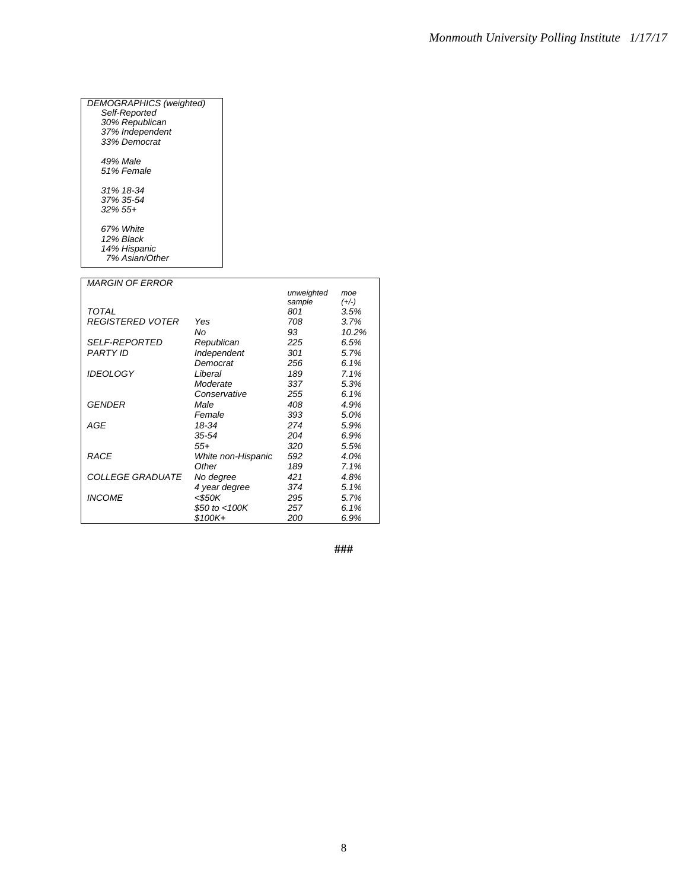| DEMOGRAPHICS (weighted)<br>Self-Reported |  |
|------------------------------------------|--|
| 30% Republican                           |  |
| 37% Independent                          |  |
| 33% Democrat                             |  |
| 49% Male                                 |  |
| 51% Female                               |  |
| 31% 18-34                                |  |
| 37% 35-54                                |  |
| $.32\%$ 55+                              |  |
| 67% White                                |  |
| 12% Black                                |  |
| 14% Hispanic                             |  |
| 7% Asian/Other                           |  |

| <b>MARGIN OF ERROR</b>  |                    |            |         |
|-------------------------|--------------------|------------|---------|
|                         |                    | unweighted | moe     |
|                         |                    | sample     | $(+/-)$ |
| TOTAL                   |                    | 801        | 3.5%    |
| <b>REGISTERED VOTER</b> | Yes                | 708        | 3.7%    |
|                         | No                 | 93         | 10.2%   |
| <b>SELF-REPORTED</b>    | Republican         | 225        | 6.5%    |
| <b>PARTY ID</b>         | Independent        | 301        | 5.7%    |
|                         | Democrat           | 256        | 6.1%    |
| <b>IDEOLOGY</b>         | Liberal            | 189        | 7.1%    |
|                         | Moderate           | 337        | 5.3%    |
|                         | Conservative       | 255        | 6.1%    |
| GENDER                  | Male               | 408        | 4.9%    |
|                         | Female             | 393        | 5.0%    |
| AGE                     | 18-34              | 274        | 5.9%    |
|                         | 35-54              | 204        | 6.9%    |
|                         | 55+                | 320        | 5.5%    |
| <b>RACE</b>             | White non-Hispanic | 592        | 4.0%    |
|                         | Other              | 189        | 7.1%    |
| <i>COLLEGE GRADUATE</i> | No degree          | 421        | 4.8%    |
|                         | 4 year degree      | 374        | 5.1%    |
| <b>INCOME</b>           | $<$ \$50K          | 295        | 5.7%    |
|                         | \$50 to $<$ 100K   | 257        | 6.1%    |
|                         | \$100K+            | 200        | 6.9%    |

**###**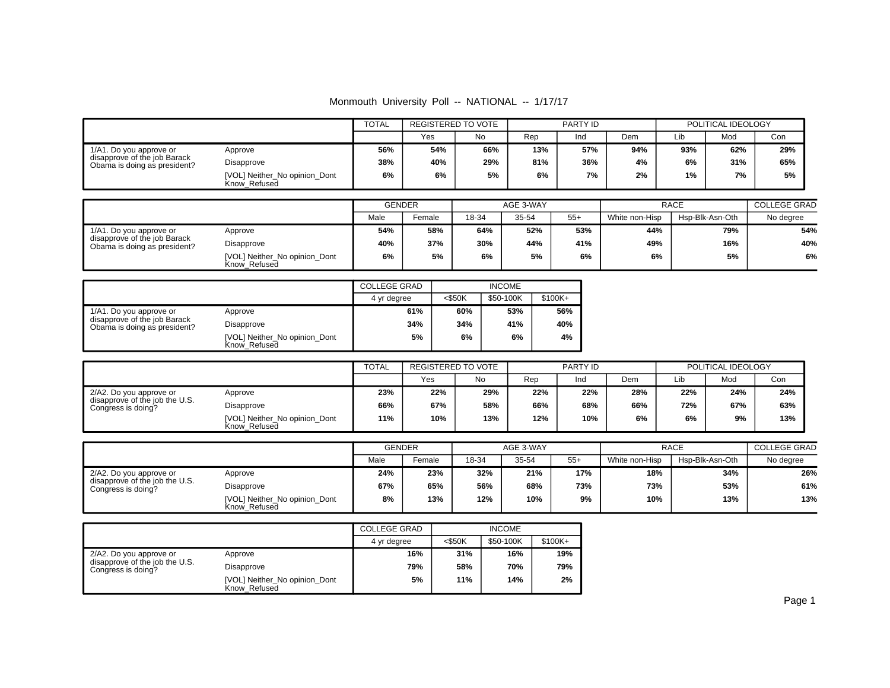Monmouth University Poll -- NATIONAL -- 1/17/17

|                                                              |                                               | <b>TOTAL</b><br>REGISTERED TO VOTE |     | <b>PARTY ID</b> |     |     | POLITICAL IDEOLOGY |     |     |     |
|--------------------------------------------------------------|-----------------------------------------------|------------------------------------|-----|-----------------|-----|-----|--------------------|-----|-----|-----|
|                                                              |                                               |                                    | Yes | <b>No</b>       | Rep | Ind | Dem                | Lib | Mod | Con |
| 1/A1. Do you approve or                                      | Approve                                       | 56%                                | 54% | 66%             | 13% | 57% | 94%                | 93% | 62% | 29% |
| disapprove of the job Barack<br>Obama is doing as president? | Disapprove                                    | 38%                                | 40% | 29%             | 81% | 36% | 4%                 | 6%  | 31% | 65% |
|                                                              | [VOL] Neither_No opinion_Dont<br>Know Refused | 6%                                 | 6%  | 5%              | 6%  | 7%  | 2%                 | 1%  | 7%  | 5%  |

|                                                              |                                               | <b>GENDER</b> |        | AGE 3-WAY |       |       | <b>RACE</b>    | <b>COLLEGE GRAD</b> |           |
|--------------------------------------------------------------|-----------------------------------------------|---------------|--------|-----------|-------|-------|----------------|---------------------|-----------|
|                                                              |                                               | Male          | Female | 18-34     | 35-54 | $55+$ | White non-Hisp | Hsp-Blk-Asn-Oth     | No degree |
| 1/A1. Do you approve or                                      | Approve                                       | 54%           | 58%    | 64%       | 52%   | 53%   | 44%            | 79%                 | 54%       |
| disapprove of the job Barack<br>Obama is doing as president? | Disapprove                                    | 40%           | 37%    | 30%       | 44%   | 41%   | 49%            | 16%                 | 40%       |
|                                                              | [VOL] Neither No opinion Dont<br>Know Refused | 6%            | 5%     | 6%        | 5%    | 6%    | 6%             | 5%                  | 6%        |

|                                                              |                                               | <b>COLLEGE GRAD</b> |           |           |           |
|--------------------------------------------------------------|-----------------------------------------------|---------------------|-----------|-----------|-----------|
|                                                              |                                               | 4 yr degree         | $<$ \$50K | \$50-100K | $$100K +$ |
| 1/A1. Do you approve or                                      | Approve                                       | 61%                 | 60%       | 53%       | 56%       |
| disapprove of the job Barack<br>Obama is doing as president? | Disapprove                                    | 34%                 | 34%       | 41%       | 40%       |
|                                                              | [VOL] Neither_No opinion_Dont<br>Know Refused | 5%                  | 6%        | 6%        | 4%        |

|                                                      |                                               |     | REGISTERED TO VOTE |     | PARTY ID |     | POLITICAL IDEOLOGY |     |     |     |
|------------------------------------------------------|-----------------------------------------------|-----|--------------------|-----|----------|-----|--------------------|-----|-----|-----|
|                                                      |                                               |     | Yes                | No  | Rep      | Ind | Dem                | Lib | Mod | Con |
| 2/A2. Do you approve or                              | Approve                                       | 23% | 22%                | 29% | 22%      | 22% | 28%                | 22% | 24% | 24% |
| disapprove of the job the U.S.<br>Congress is doing? | Disapprove                                    | 66% | 67%                | 58% | 66%      | 68% | 66%                | 72% | 67% | 63% |
|                                                      | [VOL] Neither No opinion Dont<br>Know Refused | 11% | 10%                | 13% | 12%      | 10% | 6%                 | 6%  | 9%  | 13% |

|                                                      |                                               | <b>GENDER</b> |        |       | AGE 3-WAY |       |                | <b>RACE</b>     |           |  |
|------------------------------------------------------|-----------------------------------------------|---------------|--------|-------|-----------|-------|----------------|-----------------|-----------|--|
|                                                      |                                               | Male          | Female | 18-34 | 35-54     | $55+$ | White non-Hisp | Hsp-Blk-Asn-Oth | No degree |  |
| 2/A2. Do you approve or                              | Approve                                       | 24%           | 23%    | 32%   | 21%       | 17%   | 18%            | 34%             | 26%       |  |
| disapprove of the job the U.S.<br>Congress is doing? | Disapprove                                    | 67%           | 65%    | 56%   | 68%       | 73%   | 73%            | 53%             | 61%       |  |
|                                                      | [VOL] Neither_No opinion_Dont<br>Know Refused | 8%            | 13%    | 12%   | 10%       | 9%    | 10%            | 13%             | 13%       |  |

|                                                      |                                               | <b>COLLEGE GRAD</b> |           | <b>INCOME</b> |           |
|------------------------------------------------------|-----------------------------------------------|---------------------|-----------|---------------|-----------|
|                                                      |                                               | 4 yr degree         | $<$ \$50K | \$50-100K     | $$100K +$ |
| 2/A2. Do you approve or                              | Approve                                       | 16%                 | 31%       | 16%           | 19%       |
| disapprove of the job the U.S.<br>Congress is doing? | Disapprove                                    | 79%                 | 58%       | 70%           | 79%       |
|                                                      | [VOL] Neither_No opinion_Dont<br>Know Refused | 5%                  | 11%       | 14%           | 2%        |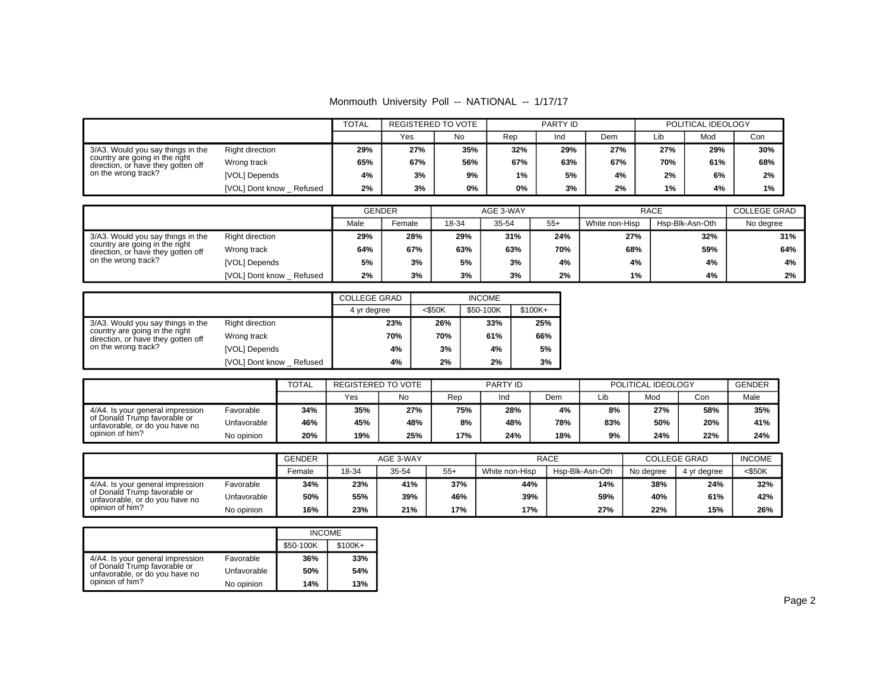Monmouth University Poll -- NATIONAL -- 1/17/17

|                                                                                                           |                            | <b>TOTAL</b> | <b>REGISTERED TO VOTE</b> |     |       | PARTY ID |     |     | POLITICAL IDEOLOGY |     |
|-----------------------------------------------------------------------------------------------------------|----------------------------|--------------|---------------------------|-----|-------|----------|-----|-----|--------------------|-----|
|                                                                                                           |                            |              | Yes                       | No  | Rep   | Ind      | Dem | Lib | Mod                | Con |
| 3/A3. Would you say things in the<br>country are going in the right<br>direction, or have they gotten off | Right direction            | 29%          | 27%                       | 35% | 32%   | 29%      | 27% | 27% | 29%                | 30% |
|                                                                                                           | Wrong track                | 65%          | 67%                       | 56% | 67%   | 63%      | 67% | 70% | 61%                | 68% |
| on the wrong track?                                                                                       | [VOL] Depends              | 4%           | 3%                        | 9%  | $1\%$ | 5%       | 4%  | 2%  | 6%                 | 2%  |
|                                                                                                           | [VOL] Dont know<br>Refused | 2%           | 3%                        | 0%  | 0%    | 3%       | 2%  | 1%  | 4%                 | 1%  |

|                                                                                                           |                           | <b>GENDER</b> |        |     | AGE 3-WAY |       |                | <b>RACE</b>     |           |  |
|-----------------------------------------------------------------------------------------------------------|---------------------------|---------------|--------|-----|-----------|-------|----------------|-----------------|-----------|--|
|                                                                                                           |                           | Male          | Female |     | 35-54     | $55+$ | White non-Hisp | Hsp-Blk-Asn-Oth | No degree |  |
| 3/A3. Would you say things in the<br>country are going in the right<br>direction, or have they gotten off | Right direction           | 29%           | 28%    | 29% | 31%       | 24%   | 27%            | 32%             | 31%       |  |
|                                                                                                           | Wrong track               | 64%           | 67%    | 63% | 63%       | 70%   | 68%            | 59%             | 64%       |  |
| on the wrong track?                                                                                       | [VOL] Depends             | 5%            | 3%     | 5%  | 3%        | 4%    | 4%             | 4%              | 4%        |  |
|                                                                                                           | [VOL] Dont know _ Refused | 2%            | 3%     | 3%  | 3%        | 2%    | 1%             | 4%              | 2%        |  |

|                                                                      |                         | <b>COLLEGE GRAD</b> |        | <b>INCOME</b> |         |
|----------------------------------------------------------------------|-------------------------|---------------------|--------|---------------|---------|
|                                                                      |                         | 4 yr degree         | <\$50K | \$50-100K     | \$100K+ |
| 3/A3. Would you say things in the                                    | <b>Right direction</b>  | 23%                 | 26%    | 33%           | 25%     |
| country are going in the right<br>direction, or have they gotten off | Wrong track             | 70%                 | 70%    | 61%           | 66%     |
| on the wrong track?                                                  | [VOL] Depends           | 4%                  | 3%     | 4%            | 5%      |
|                                                                      | [VOL] Dont know Refused | 4%                  | 2%     | 2%            | 3%      |

|                                                                | <b>TOTAL</b> |     | REGISTERED TO VOTE |     | PARTY ID |     |     | POLITICAL IDEOLOGY |     |     | GENDER |
|----------------------------------------------------------------|--------------|-----|--------------------|-----|----------|-----|-----|--------------------|-----|-----|--------|
|                                                                |              |     | Yes                | No  | Rep      | Ind | Dem | Lib                | Mod | Con | Male   |
| 4/A4. Is your general impression                               | Favorable    | 34% | 35%                | 27% | 75%      | 28% | 4%  | 8%                 | 27% | 58% | 35%    |
| of Donald Trump favorable or<br>unfavorable, or do you have no | Unfavorable  | 46% | 45%                | 48% | 8%       | 48% | 78% | 83%                | 50% | 20% | 41%    |
| opinion of him?                                                | No opinion   | 20% | 19%                | 25% | 17%      | 24% | 18% | 9%                 | 24% | 22% | 24%    |

|                                                                |             | <b>GENDER</b> | AGE 3-WAY |       |       | RACE           | <b>COLLEGE GRAD</b> | <b>INCOME</b> |             |           |
|----------------------------------------------------------------|-------------|---------------|-----------|-------|-------|----------------|---------------------|---------------|-------------|-----------|
|                                                                |             | Female        | 18-34     | 35-54 | $55+$ | White non-Hisp | Hsp-Blk-Asn-Oth     | No degree     | 4 yr degree | $<$ \$50K |
| 4/A4. Is your general impression                               | Favorable   | 34%           | 23%       | 41%   | 37%   | 44%            | 14%                 | 38%           | 24%         | 32%       |
| of Donald Trump favorable or<br>unfavorable, or do you have no | Unfavorable | 50%           | 55%       | 39%   | 46%   | 39%            | 59%                 | 40%           | 61%         | 42%       |
| opinion of him?                                                | No opinion  | 16%           | 23%       | 21%   | 17%   | 17%            | 27%                 | 22%           | 15%         | 26%       |

|                                                                |             | <b>INCOME</b> |          |
|----------------------------------------------------------------|-------------|---------------|----------|
|                                                                |             | \$50-100K     | $$100K+$ |
| 4/A4. Is your general impression                               | Favorable   | 36%           | 33%      |
| of Donald Trump favorable or<br>unfavorable, or do you have no | Unfavorable | 50%           | 54%      |
| opinion of him?                                                | No opinion  | 14%           | 13%      |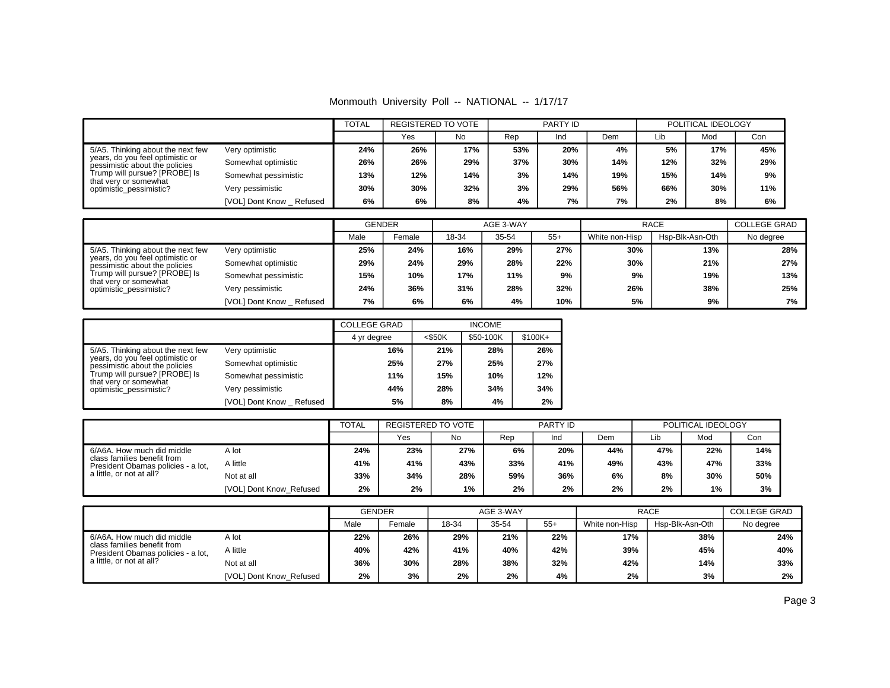Monmouth University Poll -- NATIONAL -- 1/17/17

|                                                                    |                         | <b>TOTAL</b> | <b>REGISTERED TO VOTE</b> |     |     | PARTY ID |     | POLITICAL IDEOLOGY |     |     |
|--------------------------------------------------------------------|-------------------------|--------------|---------------------------|-----|-----|----------|-----|--------------------|-----|-----|
|                                                                    |                         |              | Yes                       | No  | Rep | Ind      | Dem | Lib                | Mod | Con |
| 5/A5. Thinking about the next few                                  | Very optimistic         | 24%          | 26%                       | 17% | 53% | 20%      | 4%  | 5%                 | 17% | 45% |
| years, do you feel optimistic or<br>pessimistic about the policies | Somewhat optimistic     | 26%          | 26%                       | 29% | 37% | 30%      | 14% | 12%                | 32% | 29% |
| Trump will pursue? [PROBE] Is                                      | Somewhat pessimistic    | 13%          | 12%                       | 14% | 3%  | 14%      | 19% | 15%                | 14% | 9%  |
| that very or somewhat<br>optimistic_pessimistic?                   | Very pessimistic        | 30%          | 30%                       | 32% | 3%  | 29%      | 56% | 66%                | 30% | 11% |
|                                                                    | [VOL] Dont Know Refused | 6%           | 6%                        | 8%  | 4%  | 7%       | 7%  | 2%                 | 8%  | 6%  |

|                                                                    |                         |      | <b>GENDER</b> |       | AGE 3-WAY |       | <b>RACE</b>    | <b>COLLEGE GRAD</b> |           |
|--------------------------------------------------------------------|-------------------------|------|---------------|-------|-----------|-------|----------------|---------------------|-----------|
|                                                                    |                         | Male | Female        | 18-34 | 35-54     | $55+$ | White non-Hisp | Hsp-Blk-Asn-Oth     | No degree |
| 5/A5. Thinking about the next few                                  | Very optimistic         | 25%  | 24%           | 16%   | 29%       | 27%   | 30%            | 13%                 | 28%       |
| years, do you feel optimistic or<br>pessimistic about the policies | Somewhat optimistic     | 29%  | 24%           | 29%   | 28%       | 22%   | 30%            | 21%                 | 27%       |
| Trump will pursue? [PROBE] Is                                      | Somewhat pessimistic    | 15%  | 10%           | 17%   | 11%       | 9%    | 9%             | 19%                 | 13%       |
| that very or somewhat<br>optimistic pessimistic?                   | Very pessimistic        | 24%  | 36%           | 31%   | 28%       | 32%   | 26%            | 38%                 | 25%       |
|                                                                    | [VOL] Dont Know Refused | 7%   | 6%            | 6%    | 4%        | 10%   | 5%             | 9%                  | 7%        |

|                                                                    |                           | <b>COLLEGE GRAD</b> |           | <b>INCOME</b> |           |
|--------------------------------------------------------------------|---------------------------|---------------------|-----------|---------------|-----------|
|                                                                    |                           | 4 yr degree         | $<$ \$50K | \$50-100K     | $$100K +$ |
| 5/A5. Thinking about the next few                                  | Very optimistic           | 16%                 | 21%       | 28%           | 26%       |
| years, do you feel optimistic or<br>pessimistic about the policies | Somewhat optimistic       | 25%                 | 27%       | 25%           | 27%       |
| Trump will pursue? [PROBE] Is<br>that very or somewhat             | Somewhat pessimistic      | 11%                 | 15%       | 10%           | 12%       |
| optimistic pessimistic?                                            | Very pessimistic          | 44%                 | 28%       | 34%           | 34%       |
|                                                                    | [VOL] Dont Know _ Refused | 5%                  | 8%        | 4%            | 2%        |

|                                                                   |                         | <b>TOTAL</b> | REGISTERED TO VOTE |       | PARTY ID |     |     | POLITICAL IDEOLOGY |     |     |
|-------------------------------------------------------------------|-------------------------|--------------|--------------------|-------|----------|-----|-----|--------------------|-----|-----|
|                                                                   |                         |              | Yes                | No    | Rep      | Ind | Dem | Lib                | Mod | Con |
| 6/A6A. How much did middle                                        | A lot                   | 24%          | 23%                | 27%   | 6%       | 20% | 44% | 47%                | 22% | 14% |
| class families benefit from<br>President Obamas policies - a lot, | A little                | 41%          | 41%                | 43%   | 33%      | 41% | 49% | 43%                | 47% | 33% |
| a little, or not at all?                                          | Not at all              | 33%          | 34%                | 28%   | 59%      | 36% | 6%  | 8%                 | 30% | 50% |
|                                                                   | [VOL] Dont Know Refused | 2%           | 2%                 | $1\%$ | 2%       | 2%  | 2%  | 2%                 | 1%  | 3%  |

|                                                                                                                      |                         |      | <b>GENDER</b> |       | AGE 3-WAY |       | <b>RACE</b>    | <b>COLLEGE GRAD</b> |           |
|----------------------------------------------------------------------------------------------------------------------|-------------------------|------|---------------|-------|-----------|-------|----------------|---------------------|-----------|
|                                                                                                                      |                         | Male | Female        | 18-34 | 35-54     | $55+$ | White non-Hisp | Hsp-Blk-Asn-Oth     | No degree |
| 6/A6A. How much did middle<br>A lot<br>class families benefit from<br>A little<br>President Obamas policies - a lot, |                         | 22%  | 26%           | 29%   | 21%       | 22%   | 17%            | 38%                 | 24%       |
|                                                                                                                      |                         | 40%  | 42%           | 41%   | 40%       | 42%   | 39%            | 45%                 | 40%       |
| a little, or not at all?                                                                                             | Not at all              | 36%  | 30%           | 28%   | 38%       | 32%   | 42%            | 14%                 | 33%       |
|                                                                                                                      | [VOL] Dont Know Refused | 2%   | 3%            | 2%    | 2%        | 4%    | 2%             | 3%                  | 2%        |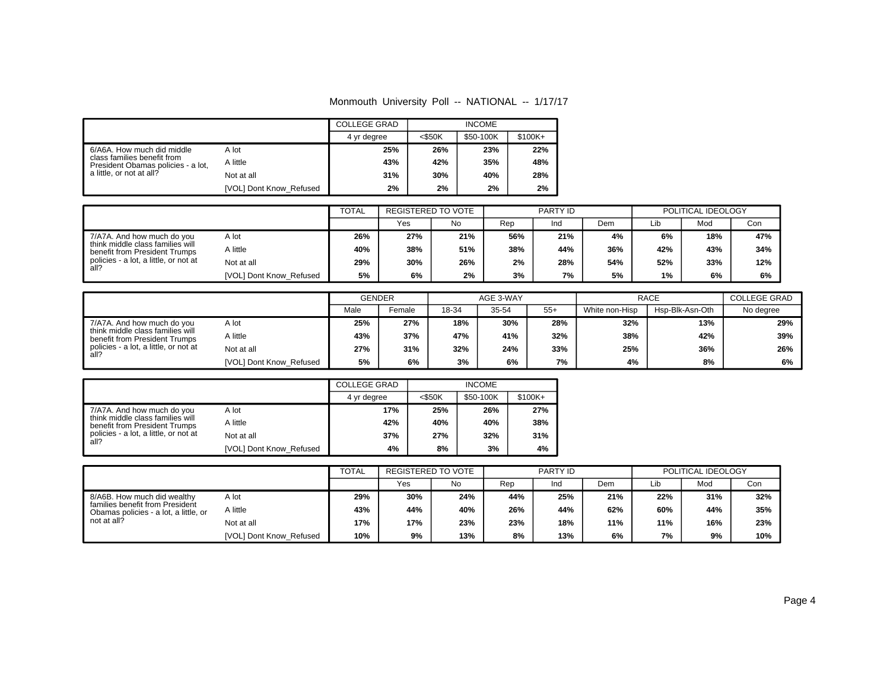Monmouth University Poll -- NATIONAL -- 1/17/17

|                                                                   |                         | <b>COLLEGE GRAD</b> |           |           |           |
|-------------------------------------------------------------------|-------------------------|---------------------|-----------|-----------|-----------|
|                                                                   |                         | 4 yr degree         | $<$ \$50K | \$50-100K | $$100K +$ |
| 6/A6A. How much did middle                                        | A lot                   | 25%                 | 26%       | 23%       | 22%       |
| class families benefit from<br>President Obamas policies - a lot, | A little                | 43%                 | 42%       | 35%       | 48%       |
| a little, or not at all?                                          | Not at all              | 31%                 | 30%       | 40%       | 28%       |
|                                                                   | [VOL] Dont Know_Refused | 2%                  | 2%        | 2%        | 2%        |

|                                                                   |                         | <b>TOTAL</b> | REGISTERED TO VOTE |     | PARTY ID |     |     | POLITICAL IDEOLOGY |     |     |
|-------------------------------------------------------------------|-------------------------|--------------|--------------------|-----|----------|-----|-----|--------------------|-----|-----|
|                                                                   |                         |              | Yes                | No  | Rep      | Ind | Dem | Lib                | Mod | Con |
| 7/A7A. And how much do you                                        | A lot                   | 26%          | 27%                | 21% | 56%      | 21% | 4%  | 6%                 | 18% | 47% |
| think middle class families will<br>benefit from President Trumps | A little                | 40%          | 38%                | 51% | 38%      | 44% | 36% | 42%                | 43% | 34% |
| policies - a lot, a little, or not at<br>all?                     | Not at all              | 29%          | 30%                | 26% | 2%       | 28% | 54% | 52%                | 33% | 12% |
|                                                                   | [VOL] Dont Know Refused | 5%           | 6%                 | 2%  | 3%       | 7%  | 5%  | 1%                 | 6%  | 6%  |

|                                                                   |                         | <b>GENDER</b> |        | AGE 3-WAY |       |       | RACE           | <b>COLLEGE GRAD</b> |           |
|-------------------------------------------------------------------|-------------------------|---------------|--------|-----------|-------|-------|----------------|---------------------|-----------|
|                                                                   |                         | Male          | Female | 18-34     | 35-54 | $55+$ | White non-Hisp | Hsp-Blk-Asn-Oth     | No degree |
| 7/A7A. And how much do you                                        | A lot                   | 25%           | 27%    | 18%       | 30%   | 28%   | 32%            | 13%                 | 29%       |
| think middle class families will<br>benefit from President Trumps | A little                | 43%           | 37%    | 47%       | 41%   | 32%   | 38%            | 42%                 | 39%       |
| policies - a lot, a little, or not at<br>all?                     | Not at all              | 27%           | 31%    | 32%       | 24%   | 33%   | 25%            | 36%                 | 26%       |
|                                                                   | [VOL] Dont Know Refused | 5%            | 6%     | 3%        | 6%    | 7%    | 4%             | 8%                  | 6%        |

|                                                                   |                         | <b>COLLEGE GRAD</b> |           | <b>INCOME</b> |           |
|-------------------------------------------------------------------|-------------------------|---------------------|-----------|---------------|-----------|
|                                                                   |                         | 4 yr degree         | $<$ \$50K | \$50-100K     | $$100K +$ |
| 7/A7A. And how much do you                                        | A lot                   | 17%                 | 25%       | 26%           | 27%       |
| think middle class families will<br>benefit from President Trumps | A little                | 42%                 | 40%       | 40%           | 38%       |
| policies - a lot, a little, or not at<br>all?                     | Not at all              | 37%                 | 27%       | 32%           | 31%       |
|                                                                   | [VOL] Dont Know Refused | 4%                  | 8%        | 3%            | 4%        |

|                                                                          |                         | <b>TOTAL</b> | REGISTERED TO VOTE |     | PARTY ID |     |     | POLITICAL IDEOLOGY |     |     |
|--------------------------------------------------------------------------|-------------------------|--------------|--------------------|-----|----------|-----|-----|--------------------|-----|-----|
|                                                                          |                         |              | Yes                | No  | Rep      | Ind | Dem | Lib                | Mod | Con |
| 8/A6B. How much did wealthy                                              | A lot                   | 29%          | 30%                | 24% | 44%      | 25% | 21% | 22%                | 31% | 32% |
| families benefit from President<br>Obamas policies - a lot, a little, or | A little                | 43%          | 44%                | 40% | 26%      | 44% | 62% | 60%                | 44% | 35% |
| not at all?                                                              | Not at all              | 17%          | 17%                | 23% | 23%      | 18% | 11% | 11%                | 16% | 23% |
|                                                                          | [VOL] Dont Know Refused | 10%          | 9%                 | 13% | 8%       | 13% | 6%  | 7%                 | 9%  | 10% |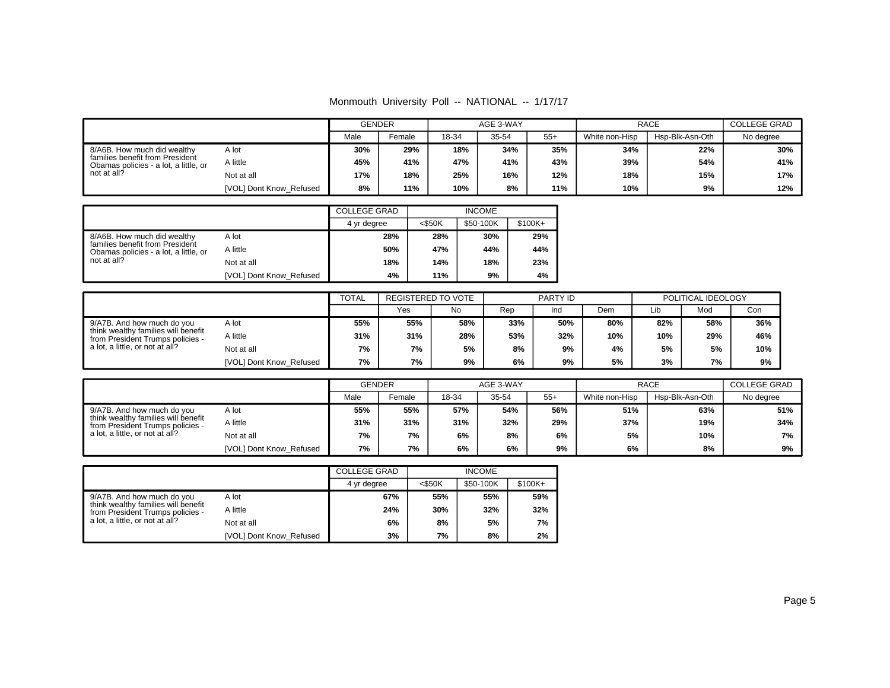Monmouth University Poll -- NATIONAL -- 1/17/17

|                                                                          |                         | <b>GENDER</b> |        |       | AGE 3-WAY |       | <b>RACE</b>    | COLLEGE GRAD    |           |
|--------------------------------------------------------------------------|-------------------------|---------------|--------|-------|-----------|-------|----------------|-----------------|-----------|
|                                                                          |                         | Male          | Female | 18-34 | 35-54     | $55+$ | White non-Hisp | Hsp-Blk-Asn-Oth | No degree |
| 8/A6B. How much did wealthy                                              | A lot                   | 30%           | 29%    | 18%   | 34%       | 35%   | 34%            | 22%             | 30%       |
| families benefit from President<br>Obamas policies - a lot. a little, or | A little                | 45%           | 41%    | 47%   | 41%       | 43%   | 39%            | 54%             | 41%       |
| not at all?                                                              | Not at all              | 17%           | 18%    | 25%   | 16%       | 12%   | 18%            | 15%             | 17%       |
|                                                                          | [VOL] Dont Know_Refused | 8%            | 11%    | 10%   | 8%        | 11%   | 10%            | 9%              | 12%       |

|                                                                          |                         | <b>COLLEGE GRAD</b> |           | <b>INCOME</b> |           |
|--------------------------------------------------------------------------|-------------------------|---------------------|-----------|---------------|-----------|
|                                                                          |                         | 4 yr degree         | $<$ \$50K | \$50-100K     | $$100K +$ |
| 8/A6B. How much did wealthy                                              | A lot                   | 28%                 | 28%       | 30%           | 29%       |
| families benefit from President<br>Obamas policies - a lot, a little, or | A little                | 50%                 | 47%       | 44%           | 44%       |
| not at all?                                                              | Not at all              | 18%                 | 14%       | 18%           | 23%       |
|                                                                          | [VOL] Dont Know Refused | 4%                  | 11%       | 9%            | 4%        |

|                                                                                                                            |                         | <b>TOTAL</b> | REGISTERED TO VOTE |     | PARTY ID |     |     | POLITICAL IDEOLOGY |     |     |
|----------------------------------------------------------------------------------------------------------------------------|-------------------------|--------------|--------------------|-----|----------|-----|-----|--------------------|-----|-----|
|                                                                                                                            |                         |              | Yes                | No  | Rep      | Ind | Dem | Lib                | Mod | Con |
| 9/A7B. And how much do you<br>A lot<br>think wealthy families will benefit<br>A little<br>from President Trumps policies - |                         | 55%          | 55%                | 58% | 33%      | 50% | 80% | 82%                | 58% | 36% |
|                                                                                                                            |                         | 31%          | 31%                | 28% | 53%      | 32% | 10% | 10%                | 29% | 46% |
| a lot, a little, or not at all?                                                                                            | Not at all              | 7%           | 7%                 | 5%  | 8%       | 9%  | 4%  | 5%                 | 5%  | 10% |
|                                                                                                                            | [VOL] Dont Know Refused | 7%           | 7%                 | 9%  | 6%       | 9%  | 5%  | 3%                 | 7%  | 9%  |

|                                                                                                                            |                         |      | <b>GENDER</b> |       | AGE 3-WAY |       | <b>RACE</b>    | <b>COLLEGE GRAD</b> |           |
|----------------------------------------------------------------------------------------------------------------------------|-------------------------|------|---------------|-------|-----------|-------|----------------|---------------------|-----------|
|                                                                                                                            |                         | Male | Female        | 18-34 | 35-54     | $55+$ | White non-Hisp | Hsp-Blk-Asn-Oth     | No degree |
| 9/A7B. And how much do you<br>A lot<br>think wealthy families will benefit<br>A little<br>from President Trumps policies - |                         | 55%  | 55%           | 57%   | 54%       | 56%   | 51%            | 63%                 | 51%       |
|                                                                                                                            |                         | 31%  | 31%           | 31%   | 32%       | 29%   | 37%            | 19%                 | 34%       |
| a lot, a little, or not at all?                                                                                            | Not at all              | 7%   | 7%            | 6%    | 8%        | 6%    | 5%             | 10%                 | 7%        |
|                                                                                                                            | [VOL] Dont Know Refused | 7%   | 7%            | 6%    | 6%        | 9%    | 6%             | 8%                  | 9%        |

|                                                                         |                         | <b>COLLEGE GRAD</b> |           | <b>INCOME</b> |           |
|-------------------------------------------------------------------------|-------------------------|---------------------|-----------|---------------|-----------|
|                                                                         |                         | 4 yr degree         | $<$ \$50K | \$50-100K     | $$100K +$ |
| 9/A7B. And how much do you                                              | A lot                   | 67%                 | 55%       | 55%           | 59%       |
| think wealthy families will benefit<br>from President Trumps policies - | A little                | 24%                 | 30%       | 32%           | 32%       |
| a lot, a little, or not at all?                                         | Not at all              | 6%                  | 8%        | 5%            | 7%        |
|                                                                         | [VOL] Dont Know Refused | 3%                  | 7%        | 8%            | 2%        |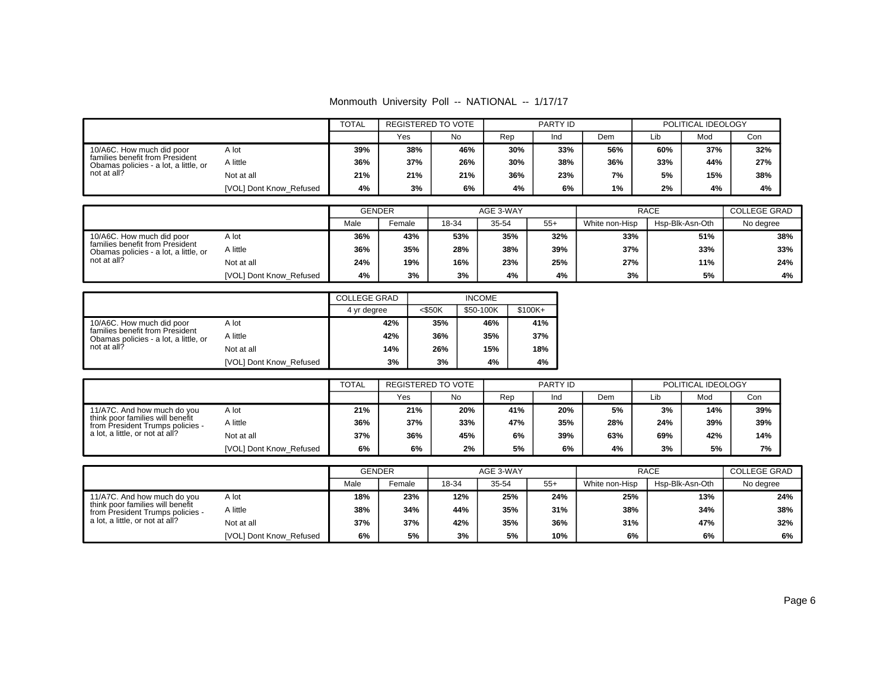Monmouth University Poll -- NATIONAL -- 1/17/17

|                                                                                                                      |                         | <b>TOTAL</b> | REGISTERED TO VOTE |     | PARTY ID |     |     | POLITICAL IDEOLOGY |     |     |
|----------------------------------------------------------------------------------------------------------------------|-------------------------|--------------|--------------------|-----|----------|-----|-----|--------------------|-----|-----|
|                                                                                                                      |                         |              | No<br>Yes          |     | Rep      | Ind | Dem | Lib                | Mod | Con |
| 10/A6C. How much did poor<br>families benefit from President<br>Obamas policies - a lot, a little, or<br>not at all? | A lot                   | 39%          | 38%                | 46% | 30%      | 33% | 56% | 60%                | 37% | 32% |
|                                                                                                                      | A little                | 36%          | 37%                | 26% | 30%      | 38% | 36% | 33%                | 44% | 27% |
|                                                                                                                      | Not at all              | 21%          | 21%                | 21% | 36%      | 23% | 7%  | 5%                 | 15% | 38% |
|                                                                                                                      | [VOL] Dont Know Refused | 4%           | 3%                 | 6%  | 4%       | 6%  | 1%  | 2%                 | 4%  | 4%  |

|                                                                                                                            |                         | <b>GENDER</b> |        |     | AGE 3-WAY |       | <b>RACE</b>    | <b>COLLEGE GRAD</b> |           |
|----------------------------------------------------------------------------------------------------------------------------|-------------------------|---------------|--------|-----|-----------|-------|----------------|---------------------|-----------|
|                                                                                                                            |                         | Male          | Female |     | 35-54     | $55+$ | White non-Hisp | Hsp-Blk-Asn-Oth     | No degree |
| 10/A6C. How much did poor<br>A lot<br>families benefit from President<br>A little<br>Obamas policies - a lot, a little, or |                         | 36%           | 43%    | 53% | 35%       | 32%   | 33%            | 51%                 | 38%       |
|                                                                                                                            |                         | 36%           | 35%    | 28% | 38%       | 39%   | 37%            | 33%                 | 33%       |
| not at all?                                                                                                                | Not at all              | 24%           | 19%    | 16% | 23%       | 25%   | 27%            | 11%                 | 24%       |
|                                                                                                                            | [VOL] Dont Know Refused | 4%            | 3%     | 3%  | 4%        | 4%    | 3%             | 5%                  | 4%        |

|                                                                          |                         | <b>COLLEGE GRAD</b> |           |           |           |
|--------------------------------------------------------------------------|-------------------------|---------------------|-----------|-----------|-----------|
|                                                                          |                         | 4 yr degree         | $<$ \$50K | \$50-100K | $$100K +$ |
| 10/A6C. How much did poor                                                | A lot                   | 42%                 | 35%       | 46%       | 41%       |
| families benefit from President<br>Obamas policies - a lot, a little, or | A little                | 42%                 | 36%       | 35%       | 37%       |
| not at all?                                                              | Not at all              | 14%                 | 26%       | 15%       | 18%       |
|                                                                          | [VOL] Dont Know Refused | 3%                  | 3%        | 4%        | 4%        |

|                                                                                                                                        |                         | <b>TOTAL</b> | <b>REGISTERED TO VOTE</b> |     | PARTY ID |     |     | POLITICAL IDEOLOGY |     |     |
|----------------------------------------------------------------------------------------------------------------------------------------|-------------------------|--------------|---------------------------|-----|----------|-----|-----|--------------------|-----|-----|
|                                                                                                                                        |                         |              | Yes                       | No  | Rep      | Ind | Dem | Lib                | Mod | Con |
| 11/A7C. And how much do you<br>think poor families will benefit<br>from President Trumps policies -<br>a lot, a little, or not at all? | A lot                   | 21%          | 21%                       | 20% | 41%      | 20% | 5%  | 3%                 | 14% | 39% |
|                                                                                                                                        | A little                | 36%          | 37%                       | 33% | 47%      | 35% | 28% | 24%                | 39% | 39% |
|                                                                                                                                        | Not at all              | 37%          | 36%                       | 45% | 6%       | 39% | 63% | 69%                | 42% | 14% |
|                                                                                                                                        | [VOL] Dont Know Refused | 6%           | 6%                        | 2%  | 5%       | 6%  | 4%  | 3%                 | 5%  | 7%  |

|                                                                                                                                        |                         |      | <b>GENDER</b> |       | AGE 3-WAY |       |                | <b>RACE</b>     |           |  |
|----------------------------------------------------------------------------------------------------------------------------------------|-------------------------|------|---------------|-------|-----------|-------|----------------|-----------------|-----------|--|
|                                                                                                                                        |                         | Male | Female        | 18-34 | 35-54     | $55+$ | White non-Hisp | Hsp-Blk-Asn-Oth | No degree |  |
| 11/A7C. And how much do you<br>think poor families will benefit<br>from President Trumps policies -<br>a lot, a little, or not at all? | A lot                   | 18%  | 23%           | 12%   | 25%       | 24%   | 25%            | 13%             | 24%       |  |
|                                                                                                                                        | A little                | 38%  | 34%           | 44%   | 35%       | 31%   | 38%            | 34%             | 38%       |  |
|                                                                                                                                        | Not at all              | 37%  | 37%           | 42%   | 35%       | 36%   | 31%            | 47%             | 32%       |  |
|                                                                                                                                        | [VOL] Dont Know Refused | 6%   | 5%            | 3%    | 5%        | 10%   | 6%             | 6%              | 6%        |  |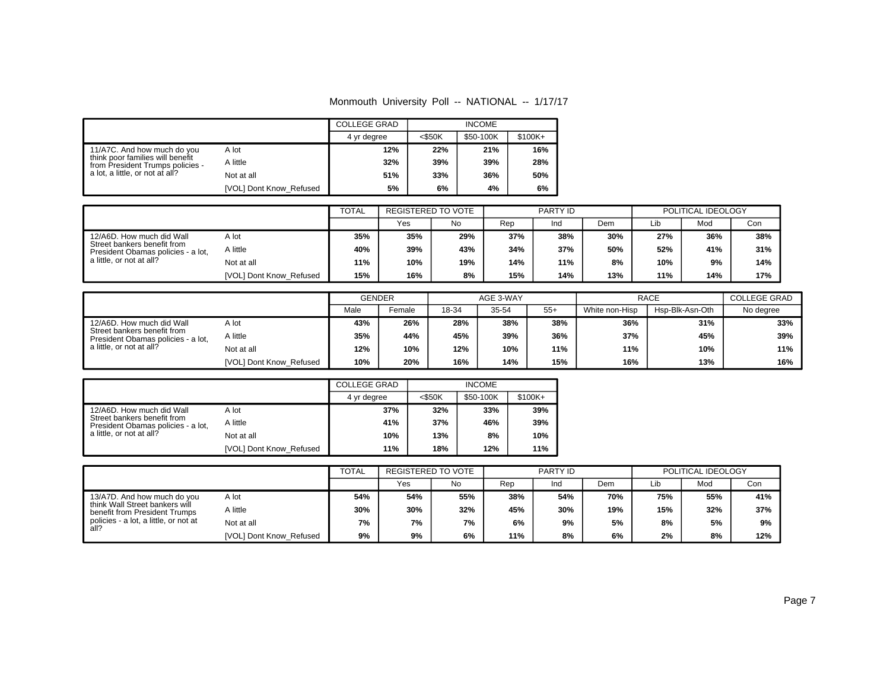Monmouth University Poll -- NATIONAL -- 1/17/17

|                                                                      |                         | <b>COLLEGE GRAD</b> |           |           |           |
|----------------------------------------------------------------------|-------------------------|---------------------|-----------|-----------|-----------|
|                                                                      |                         | 4 yr degree         | $<$ \$50K | \$50-100K | $$100K +$ |
| 11/A7C. And how much do you                                          | A lot                   | 12%                 | 22%       | 21%       | 16%       |
| think poor families will benefit<br>from President Trumps policies - | A little                | 32%                 | 39%       | 39%       | 28%       |
| a lot, a little, or not at all?                                      | Not at all              | 51%                 | 33%       | 36%       | 50%       |
|                                                                      | [VOL] Dont Know Refused | 5%                  | 6%        | 4%        | 6%        |

|                                                                                                                            |                         | <b>TOTAL</b> | REGISTERED TO VOTE |     | PARTY ID |     |     | POLITICAL IDEOLOGY |     |     |
|----------------------------------------------------------------------------------------------------------------------------|-------------------------|--------------|--------------------|-----|----------|-----|-----|--------------------|-----|-----|
|                                                                                                                            |                         |              | Yes                | No  | Rep      | Ind | Dem | Lib                | Mod | Con |
| 12/A6D. How much did Wall<br>Street bankers benefit from<br>President Obamas policies - a lot,<br>a little, or not at all? | A lot                   | 35%          | 35%                | 29% | 37%      | 38% | 30% | 27%                | 36% | 38% |
|                                                                                                                            | A little                | 40%          | 39%                | 43% | 34%      | 37% | 50% | 52%                | 41% | 31% |
|                                                                                                                            | Not at all              | 11%          | 10%                | 19% | 14%      | 11% | 8%  | 10%                | 9%  | 14% |
|                                                                                                                            | [VOL] Dont Know Refused | 15%          | 16%                | 8%  | 15%      | 14% | 13% | 11%                | 14% | 17% |

|                                                                                                                            |                         | <b>GENDER</b> |        | AGE 3-WAY |       |       | <b>RACE</b>    | <b>COLLEGE GRAD</b> |           |
|----------------------------------------------------------------------------------------------------------------------------|-------------------------|---------------|--------|-----------|-------|-------|----------------|---------------------|-----------|
|                                                                                                                            |                         | Male          | Female |           | 35-54 | $55+$ | White non-Hisp | Hsp-Blk-Asn-Oth     | No degree |
| 12/A6D. How much did Wall<br>Street bankers benefit from<br>President Obamas policies - a lot,<br>a little, or not at all? | A lot                   | 43%           | 26%    | 28%       | 38%   | 38%   | 36%            | 31%                 | 33%       |
|                                                                                                                            | A little                | 35%           | 44%    | 45%       | 39%   | 36%   | 37%            | 45%                 | 39%       |
|                                                                                                                            | Not at all              | 12%           | 10%    | 12%       | 10%   | 11%   | 11%            | 10%                 | 11%       |
|                                                                                                                            | [VOL] Dont Know Refused | 10%           | 20%    | 16%       | 14%   | 15%   | 16%            | 13%                 | 16%       |

|                                                                   |                         | <b>COLLEGE GRAD</b> |           | <b>INCOME</b> |           |
|-------------------------------------------------------------------|-------------------------|---------------------|-----------|---------------|-----------|
|                                                                   |                         | 4 yr degree         | $<$ \$50K | \$50-100K     | $$100K +$ |
| 12/A6D. How much did Wall                                         | A lot                   | 37%                 | 32%       | 33%           | 39%       |
| Street bankers benefit from<br>President Obamas policies - a lot, | A little                | 41%                 | 37%       | 46%           | 39%       |
| a little, or not at all?                                          | Not at all              | 10%                 | 13%       | 8%            | 10%       |
|                                                                   | [VOL] Dont Know Refused | 11%                 | 18%       | 12%           | 11%       |

|                                                                                                |                         | <b>TOTAL</b> | REGISTERED TO VOTE |     | PARTY ID |     |     | POLITICAL IDEOLOGY |     |     |
|------------------------------------------------------------------------------------------------|-------------------------|--------------|--------------------|-----|----------|-----|-----|--------------------|-----|-----|
|                                                                                                |                         |              | Yes                | No  | Rep      | Ind | Dem | Lib                | Mod | Con |
| 13/A7D. And how much do you<br>think Wall Street bankers will<br>benefit from President Trumps | A lot                   | 54%          | 54%                | 55% | 38%      | 54% | 70% | 75%                | 55% | 41% |
|                                                                                                | A little                | 30%          | 30%                | 32% | 45%      | 30% | 19% | 15%                | 32% | 37% |
| policies - a lot, a little, or not at<br>all?                                                  | Not at all              | 7%           | 7%                 | 7%  | 6%       | 9%  | 5%  | 8%                 | 5%  | 9%  |
|                                                                                                | [VOL] Dont Know Refused | 9%           | 9%                 | 6%  | 11%      | 8%  | 6%  | 2%                 | 8%  | 12% |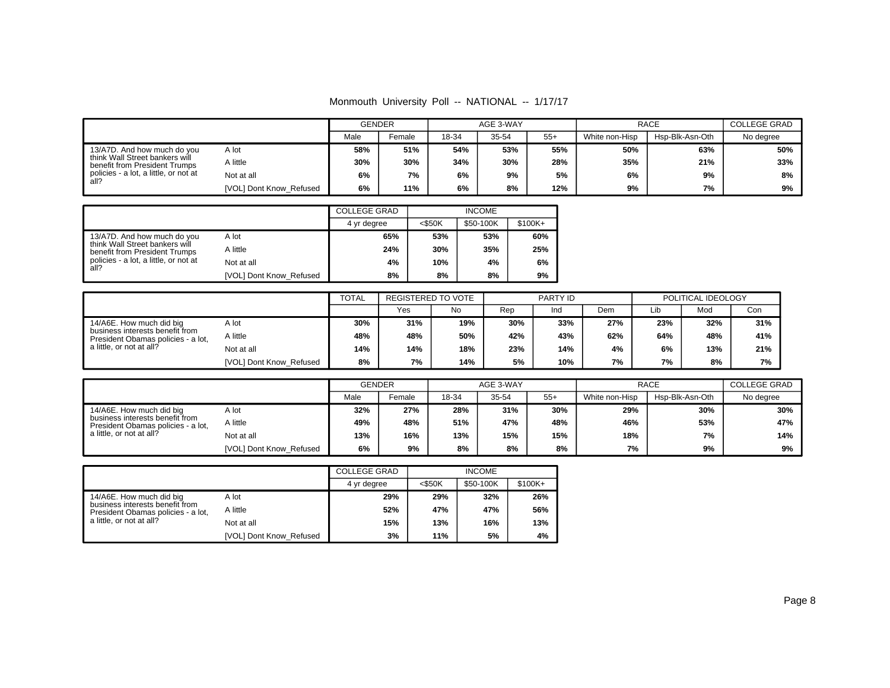Monmouth University Poll -- NATIONAL -- 1/17/17

|                                                                 |                         |     | <b>GENDER</b><br>Male<br>Female |     | AGE 3-WAY |       | <b>RACE</b>    | <b>COLLEGE GRAD</b> |           |
|-----------------------------------------------------------------|-------------------------|-----|---------------------------------|-----|-----------|-------|----------------|---------------------|-----------|
|                                                                 |                         |     |                                 |     | 35-54     | $55+$ | White non-Hisp | Hsp-Blk-Asn-Oth     | No degree |
| 13/A7D. And how much do you                                     | A lot                   | 58% | 51%                             | 54% | 53%       | 55%   | 50%            | 63%                 | 50%       |
| think Wall Street bankers will<br>benefit from President Trumps | A little                | 30% | 30%                             | 34% | 30%       | 28%   | 35%            | 21%                 | 33%       |
| policies - a lot, a little, or not at<br>all?                   | Not at all              | 6%  | 7%                              | 6%  | 9%        | 5%    | 6%             | 9%                  | 8%        |
|                                                                 | [VOL] Dont Know_Refused | 6%  | 11%                             | 6%  | 8%        | 12%   | 9%             | 7%                  | 9%        |

|                                                                 |                         | <b>COLLEGE GRAD</b> |           | <b>INCOME</b> |           |
|-----------------------------------------------------------------|-------------------------|---------------------|-----------|---------------|-----------|
|                                                                 |                         | 4 yr degree         | $<$ \$50K | \$50-100K     | $$100K +$ |
| 13/A7D. And how much do you                                     | A lot                   | 65%                 | 53%       | 53%           | 60%       |
| think Wall Street bankers will<br>benefit from President Trumps | A little                | 24%                 | 30%       | 35%           | 25%       |
| policies - a lot, a little, or not at<br>all?                   | Not at all              | 4%                  | 10%       | 4%            | 6%        |
|                                                                 | [VOL] Dont Know_Refused | 8%                  | 8%        | 8%            | 9%        |

|                                                                                                                        |                         | <b>TOTAL</b> | REGISTERED TO VOTE |     |     | PARTY ID |     |     | POLITICAL IDEOLOGY |     |
|------------------------------------------------------------------------------------------------------------------------|-------------------------|--------------|--------------------|-----|-----|----------|-----|-----|--------------------|-----|
|                                                                                                                        |                         |              | Yes                | No  | Rep | Ind      | Dem | ∟ib | Mod                | Con |
| 14/A6E. How much did big<br>A lot<br>business interests benefit from<br>A little<br>President Obamas policies - a lot, |                         | 30%          | 31%                | 19% | 30% | 33%      | 27% | 23% | 32%                | 31% |
|                                                                                                                        |                         | 48%          | 48%                | 50% | 42% | 43%      | 62% | 64% | 48%                | 41% |
| a little, or not at all?                                                                                               | Not at all              | 14%          | 14%                | 18% | 23% | 14%      | 4%  | 6%  | 13%                | 21% |
|                                                                                                                        | [VOL] Dont Know Refused | 8%           | 7%                 | 14% | 5%  | 10%      | 7%  | 7%  | 8%                 | 7%  |

|                                                                                                   |                         | <b>GENDER</b> |        |       | AGE 3-WAY |       |                | <b>RACE</b>     |           |  |  |
|---------------------------------------------------------------------------------------------------|-------------------------|---------------|--------|-------|-----------|-------|----------------|-----------------|-----------|--|--|
|                                                                                                   |                         | Male          | Female | 18-34 | 35-54     | $55+$ | White non-Hisp | Hsp-Blk-Asn-Oth | No degree |  |  |
| 14/A6E. How much did big<br>business interests benefit from<br>President Obamas policies - a lot, | A lot                   | 32%           | 27%    | 28%   | 31%       | 30%   | 29%            | 30%             | 30%       |  |  |
|                                                                                                   | A little                | 49%           | 48%    | 51%   | 47%       | 48%   | 46%            | 53%             | 47%       |  |  |
| a little, or not at all?                                                                          | Not at all              | 13%           | 16%    | 13%   | 15%       | 15%   | 18%            | 7%              | 14%       |  |  |
|                                                                                                   | [VOL] Dont Know Refused | 6%            | 9%     | 8%    | 8%        | 8%    | 7%             | 9%              | 9%        |  |  |

|                                                                       |                         | <b>COLLEGE GRAD</b> |           | <b>INCOME</b> |           |
|-----------------------------------------------------------------------|-------------------------|---------------------|-----------|---------------|-----------|
|                                                                       |                         | 4 yr degree         | $<$ \$50K | \$50-100K     | $$100K +$ |
| 14/A6E. How much did big                                              | A lot                   | 29%                 | 29%       | 32%           | 26%       |
| business interests benefit from<br>President Obamas policies - a lot, | A little                | 52%                 | 47%       | 47%           | 56%       |
| a little, or not at all?                                              | Not at all              | 15%                 | 13%       | 16%           | 13%       |
|                                                                       | [VOL] Dont Know Refused | 3%                  | 11%       | 5%            | 4%        |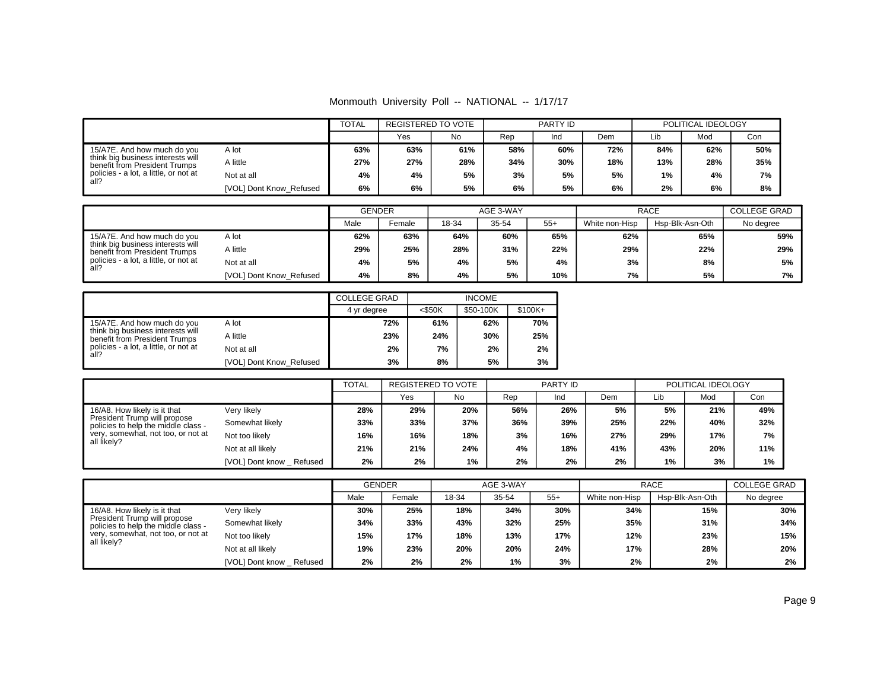Monmouth University Poll -- NATIONAL -- 1/17/17

|                                                                                                                        |                         | <b>TOTAL</b> | PARTY ID<br>REGISTERED TO VOTE |     | POLITICAL IDEOLOGY |     |     |     |     |     |
|------------------------------------------------------------------------------------------------------------------------|-------------------------|--------------|--------------------------------|-----|--------------------|-----|-----|-----|-----|-----|
|                                                                                                                        |                         |              | Yes                            | No  | Rep                | Ind | Dem | Lib | Mod | Con |
| 15/A7E. And how much do you<br>A lot<br>think big business interests will<br>A little<br>benefit from President Trumps |                         | 63%          | 63%                            | 61% | 58%                | 60% | 72% | 84% | 62% | 50% |
|                                                                                                                        |                         | 27%          | 27%                            | 28% | 34%                | 30% | 18% | 13% | 28% | 35% |
| policies - a lot, a little, or not at<br>all?                                                                          | Not at all              | 4%           | 4%                             | 5%  | 3%                 | 5%  | 5%  | 1%  | 4%  | 7%  |
|                                                                                                                        | [VOL] Dont Know Refused | 6%           | 6%                             | 5%  | 6%                 | 5%  | 6%  | 2%  | 6%  | 8%  |

|                                                                    |                         | <b>GENDER</b> |        |       | AGE 3-WAY |       |                | <b>RACE</b>     | <b>COLLEGE GRAD</b> |
|--------------------------------------------------------------------|-------------------------|---------------|--------|-------|-----------|-------|----------------|-----------------|---------------------|
|                                                                    |                         | Male          | Female | 18-34 | 35-54     | $55+$ | White non-Hisp | Hsp-Blk-Asn-Oth | No degree           |
| 15/A7E. And how much do you                                        | A lot                   | 62%           | 63%    | 64%   | 60%       | 65%   | 62%            | 65%             | 59%                 |
| think big business interests will<br>benefit from President Trumps | A little                | 29%           | 25%    | 28%   | 31%       | 22%   | 29%            | 22%             | 29%                 |
| policies - a lot, a little, or not at<br>all?                      | Not at all              | 4%            | 5%     | 4%    | 5%        | 4%    | 3%             | 8%              | 5%                  |
|                                                                    | [VOL] Dont Know Refused | 4%            | 8%     | 4%    | 5%        | 10%   | 7%             | 5%              | 7%                  |

|                                                                    |                         | <b>COLLEGE GRAD</b> |           | <b>INCOME</b> |           |
|--------------------------------------------------------------------|-------------------------|---------------------|-----------|---------------|-----------|
|                                                                    |                         | 4 yr degree         | $<$ \$50K | \$50-100K     | $$100K +$ |
| 15/A7E. And how much do you                                        | A lot                   | 72%                 | 61%       | 62%           | 70%       |
| think big business interests will<br>benefit from President Trumps | A little                | 23%                 | 24%       | 30%           | 25%       |
| policies - a lot, a little, or not at<br>all?                      | Not at all              | 2%                  | 7%        | 2%            | 2%        |
|                                                                    | [VOL] Dont Know Refused | 3%                  | 8%        | 5%            | 3%        |

|                                                                     |                         | <b>TOTAL</b> | <b>REGISTERED TO VOTE</b> |     |     | <b>PARTY ID</b> |     | POLITICAL IDEOLOGY |     |     |
|---------------------------------------------------------------------|-------------------------|--------------|---------------------------|-----|-----|-----------------|-----|--------------------|-----|-----|
|                                                                     |                         |              | Yes                       | No. | Rep | Ind             | Dem | Lib                | Mod | Con |
| 16/A8. How likely is it that                                        | Very likely             | 28%          | 29%                       | 20% | 56% | 26%             | 5%  | 5%                 | 21% | 49% |
| President Trump will propose<br>policies to help the middle class - | Somewhat likely         | 33%          | 33%                       | 37% | 36% | 39%             | 25% | 22%                | 40% | 32% |
| very, somewhat, not too, or not at<br>all likely?                   | Not too likely          | 16%          | 16%                       | 18% | 3%  | 16%             | 27% | 29%                | 17% | 7%  |
|                                                                     | Not at all likely       | 21%          | 21%                       | 24% | 4%  | 18%             | 41% | 43%                | 20% | 11% |
|                                                                     | [VOL] Dont know Refused | 2%           | 2%                        | 1%  | 2%  | 2%              | 2%  | 1%                 | 3%  | 1%  |

|                                                                     |                         | <b>GENDER</b> |        |       | AGE 3-WAY |       |                | <b>RACE</b>     | <b>COLLEGE GRAD</b> |
|---------------------------------------------------------------------|-------------------------|---------------|--------|-------|-----------|-------|----------------|-----------------|---------------------|
|                                                                     |                         | Male          | Female | 18-34 | 35-54     | $55+$ | White non-Hisp | Hsp-Blk-Asn-Oth | No degree           |
| 16/A8. How likely is it that                                        | Very likely             | 30%           | 25%    | 18%   | 34%       | 30%   | 34%            | 15%             | 30%                 |
| President Trump will propose<br>policies to help the middle class - | Somewhat likely         | 34%           | 33%    | 43%   | 32%       | 25%   | 35%            | 31%             | 34%                 |
| very, somewhat, not too, or not at<br>all likely?                   | Not too likely          | 15%           | 17%    | 18%   | 13%       | 17%   | 12%            | 23%             | 15%                 |
|                                                                     | Not at all likely       | 19%           | 23%    | 20%   | 20%       | 24%   | 17%            | 28%             | 20%                 |
|                                                                     | [VOL] Dont know Refused | 2%            | 2%     | 2%    | 1%        | 3%    | 2%             | 2%              | 2%                  |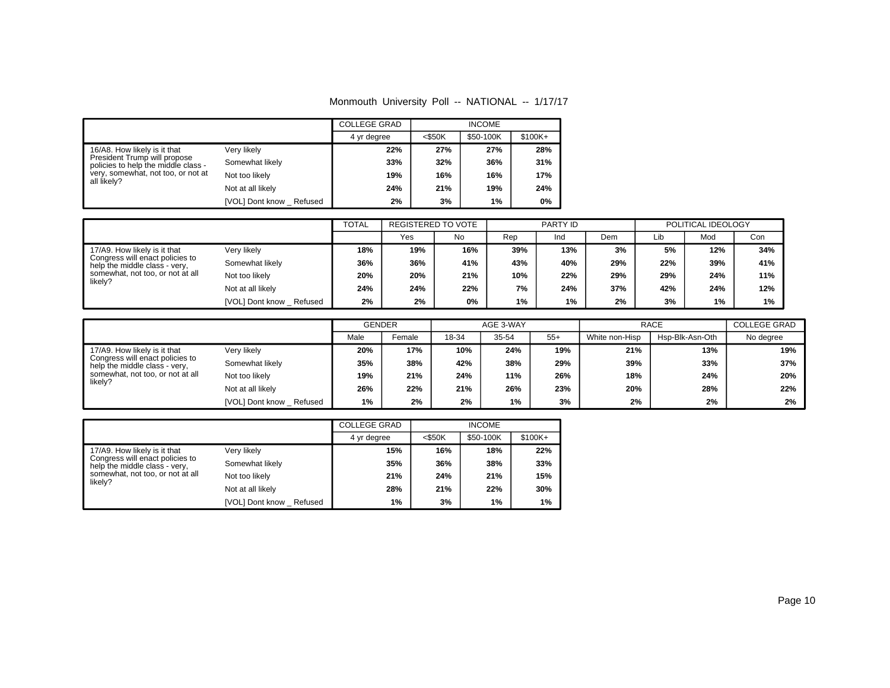| Monmouth University Poll -- NATIONAL -- 1/17/17 |  |  |  |  |  |
|-------------------------------------------------|--|--|--|--|--|
|-------------------------------------------------|--|--|--|--|--|

|                                                                     |                         | <b>COLLEGE GRAD</b> |           | <b>INCOME</b> |          |
|---------------------------------------------------------------------|-------------------------|---------------------|-----------|---------------|----------|
|                                                                     |                         | 4 yr degree         | $<$ \$50K | \$50-100K     | $$100K+$ |
| 16/A8. How likely is it that                                        | Very likely             | 22%                 | 27%       | 27%           | 28%      |
| President Trump will propose<br>policies to help the middle class - | Somewhat likely         | 33%                 | 32%       | 36%           | 31%      |
| very, somewhat, not too, or not at<br>all likely?                   | Not too likely          | 19%                 | 16%       | 16%           | 17%      |
|                                                                     | Not at all likely       | 24%                 | 21%       | 19%           | 24%      |
|                                                                     | [VOL] Dont know Refused | 2%                  | 3%        | 1%            | 0%       |

|                                                                                                                                                                                                                          |                           | <b>TOTAL</b> | <b>REGISTERED TO VOTE</b> |     |       | PARTY ID |     | POLITICAL IDEOLOGY |     |     |
|--------------------------------------------------------------------------------------------------------------------------------------------------------------------------------------------------------------------------|---------------------------|--------------|---------------------------|-----|-------|----------|-----|--------------------|-----|-----|
|                                                                                                                                                                                                                          |                           |              | Yes                       | No. | Rep   | Ind      | Dem | Lib                | Mod | Con |
| Very likely<br>17/A9. How likely is it that<br>Congress will enact policies to<br>Somewhat likely<br>help the middle class - very,<br>somewhat, not too, or not at all<br>Not too likely<br>likely?<br>Not at all likely |                           | 18%          | 19%                       | 16% | 39%   | 13%      | 3%  | 5%                 | 12% | 34% |
|                                                                                                                                                                                                                          |                           | 36%          | 36%                       | 41% | 43%   | 40%      | 29% | 22%                | 39% | 41% |
|                                                                                                                                                                                                                          |                           | 20%          | 20%                       | 21% | 10%   | 22%      | 29% | 29%                | 24% | 11% |
|                                                                                                                                                                                                                          |                           | 24%          | 24%                       | 22% | 7%    | 24%      | 37% | 42%                | 24% | 12% |
|                                                                                                                                                                                                                          | [VOL] Dont know _ Refused | 2%           | 2%                        | 0%  | $1\%$ | $1\%$    | 2%  | 3%                 | 1%  | 1%  |

|                                                                  |                         | <b>GENDER</b> |        | AGE 3-WAY |       |       | <b>RACE</b>    |                 | <b>COLLEGE GRAD</b> |  |
|------------------------------------------------------------------|-------------------------|---------------|--------|-----------|-------|-------|----------------|-----------------|---------------------|--|
|                                                                  |                         | Male          | Female | 18-34     | 35-54 | $55+$ | White non-Hisp | Hsp-Blk-Asn-Oth | No degree           |  |
| 17/A9. How likely is it that                                     | Very likely             | 20%           | 17%    | 10%       | 24%   | 19%   | 21%            | 13%             | 19%                 |  |
| Congress will enact policies to<br>help the middle class - very, | Somewhat likely         | 35%           | 38%    | 42%       | 38%   | 29%   | 39%            | 33%             | 37%                 |  |
| somewhat, not too, or not at all<br>likely?                      | Not too likely          | 19%           | 21%    | 24%       | 11%   | 26%   | 18%            | 24%             | 20%                 |  |
|                                                                  | Not at all likely       | 26%           | 22%    | 21%       | 26%   | 23%   | 20%            | 28%             | 22%                 |  |
|                                                                  | [VOL] Dont know Refused | 1%            | 2%     | 2%        | 1%    | 3%    | 2%             | 2%              | 2%                  |  |

|                                                                  |                         | <b>COLLEGE GRAD</b> |           | <b>INCOME</b> |           |
|------------------------------------------------------------------|-------------------------|---------------------|-----------|---------------|-----------|
|                                                                  |                         | 4 yr degree         | $<$ \$50K | \$50-100K     | $$100K +$ |
| 17/A9. How likely is it that                                     | Verv likelv             | 15%                 | 16%       | 18%           | 22%       |
| Congress will enact policies to<br>help the middle class - very, | Somewhat likely         | 35%                 | 36%       | 38%           | 33%       |
| somewhat, not too, or not at all<br>likely?                      | Not too likely          | 21%                 | 24%       | 21%           | 15%       |
|                                                                  | Not at all likely       | 28%                 | 21%       | 22%           | 30%       |
|                                                                  | [VOL] Dont know Refused | 1%                  | 3%        | 1%            | $1\%$     |